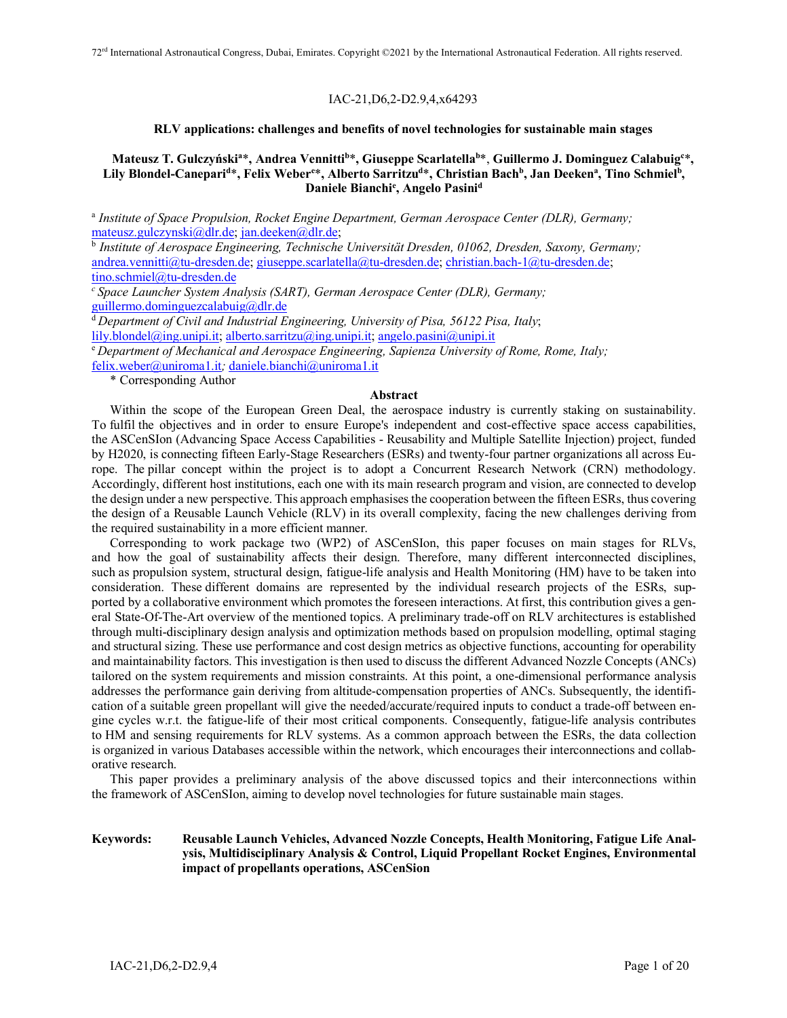### IAC-21,D6,2-D2.9,4,x64293

### **RLV applications: challenges and benefits of novel technologies for sustainable main stages**

# **Mateusz T. Gulczyńskia** \***, Andrea Vennittib** \***, Giuseppe Scarlatellab** \*, **Guillermo J. Dominguez Calabuigc** \***,**  Lily Blondel-Canepari<sup>d</sup>\*, Felix Weber<sup>e</sup>\*, Alberto Sarritzu<sup>d</sup>\*, Christian Bach<sup>b</sup>, Jan Deeken<sup>a</sup>, Tino Schmiel<sup>b</sup>, **Daniele Bianchie , Angelo Pasinid**

<sup>a</sup> *Institute of Space Propulsion, Rocket Engine Department, German Aerospace Center (DLR), Germany;* mateusz.gulczynski@dlr.de; jan.deeken@dlr.de;

<sup>b</sup> *Institute of Aerospace Engineering, Technische Universität Dresden, 01062, Dresden, Saxony, Germany;* andrea.vennitti@tu-dresden.de; giuseppe.scarlatella@tu-dresden.de; christian.bach-1@tu-dresden.de; tino.schmiel@tu-dresden.de

*<sup>c</sup> Space Launcher System Analysis (SART), German Aerospace Center (DLR), Germany;* guillermo.dominguezcalabuig@dlr.de

<sup>d</sup>*Department of Civil and Industrial Engineering, University of Pisa, 56122 Pisa, Italy*;

lily.blondel@ing.unipi.it; alberto.sarritzu@ing.unipi.it; angelo.pasini@unipi.it

<sup>e</sup> *Department of Mechanical and Aerospace Engineering, Sapienza University of Rome, Rome, Italy;* felix.weber@uniroma1.it*;* daniele.bianchi@uniroma1.it

\* Corresponding Author

# **Abstract**

Within the scope of the European Green Deal, the aerospace industry is currently staking on sustainability. To fulfil the objectives and in order to ensure Europe's independent and cost-effective space access capabilities, the ASCenSIon (Advancing Space Access Capabilities - Reusability and Multiple Satellite Injection) project, funded by H2020, is connecting fifteen Early-Stage Researchers (ESRs) and twenty-four partner organizations all across Europe. The pillar concept within the project is to adopt a Concurrent Research Network (CRN) methodology. Accordingly, different host institutions, each one with its main research program and vision, are connected to develop the design under a new perspective. This approach emphasises the cooperation between the fifteen ESRs, thus covering the design of a Reusable Launch Vehicle (RLV) in its overall complexity, facing the new challenges deriving from the required sustainability in a more efficient manner.

Corresponding to work package two (WP2) of ASCenSIon, this paper focuses on main stages for RLVs, and how the goal of sustainability affects their design. Therefore, many different interconnected disciplines, such as propulsion system, structural design, fatigue-life analysis and Health Monitoring (HM) have to be taken into consideration. These different domains are represented by the individual research projects of the ESRs, supported by a collaborative environment which promotes the foreseen interactions. At first, this contribution gives a general State-Of-The-Art overview of the mentioned topics. A preliminary trade-off on RLV architectures is established through multi-disciplinary design analysis and optimization methods based on propulsion modelling, optimal staging and structural sizing. These use performance and cost design metrics as objective functions, accounting for operability and maintainability factors. This investigation is then used to discuss the different Advanced Nozzle Concepts (ANCs) tailored on the system requirements and mission constraints. At this point, a one-dimensional performance analysis addresses the performance gain deriving from altitude-compensation properties of ANCs. Subsequently, the identification of a suitable green propellant will give the needed/accurate/required inputs to conduct a trade-off between engine cycles w.r.t. the fatigue-life of their most critical components. Consequently, fatigue-life analysis contributes to HM and sensing requirements for RLV systems. As a common approach between the ESRs, the data collection is organized in various Databases accessible within the network, which encourages their interconnections and collaborative research.

This paper provides a preliminary analysis of the above discussed topics and their interconnections within the framework of ASCenSIon, aiming to develop novel technologies for future sustainable main stages.

### **Keywords: Reusable Launch Vehicles, Advanced Nozzle Concepts, Health Monitoring, Fatigue Life Analysis, Multidisciplinary Analysis & Control, Liquid Propellant Rocket Engines, Environmental impact of propellants operations, ASCenSion**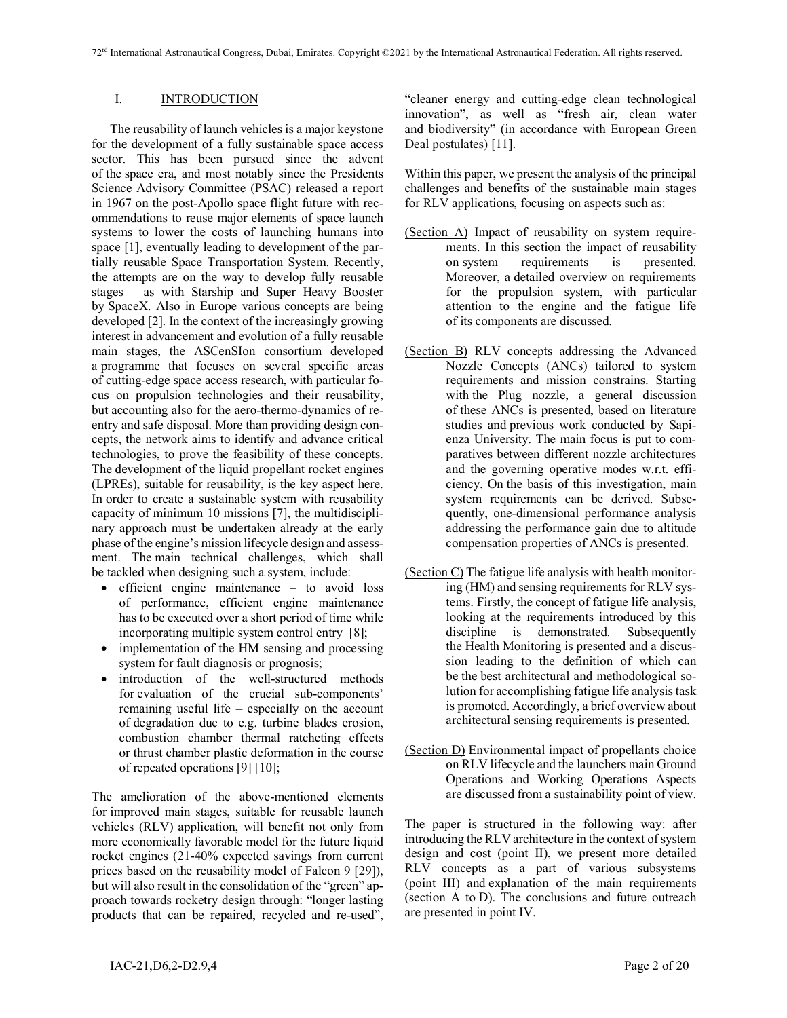## I. **INTRODUCTION**

The reusability of launch vehicles is a major keystone for the development of a fully sustainable space access sector. This has been pursued since the advent of the space era, and most notably since the Presidents Science Advisory Committee (PSAC) released a report in 1967 on the post-Apollo space flight future with recommendations to reuse major elements of space launch systems to lower the costs of launching humans into space [1], eventually leading to development of the partially reusable Space Transportation System. Recently, the attempts are on the way to develop fully reusable stages – as with Starship and Super Heavy Booster by SpaceX. Also in Europe various concepts are being developed [2]. In the context of the increasingly growing interest in advancement and evolution of a fully reusable main stages, the ASCenSIon consortium developed a programme that focuses on several specific areas of cutting-edge space access research, with particular focus on propulsion technologies and their reusability, but accounting also for the aero-thermo-dynamics of reentry and safe disposal. More than providing design concepts, the network aims to identify and advance critical technologies, to prove the feasibility of these concepts. The development of the liquid propellant rocket engines (LPREs), suitable for reusability, is the key aspect here. In order to create a sustainable system with reusability capacity of minimum 10 missions [7], the multidisciplinary approach must be undertaken already at the early phase of the engine's mission lifecycle design and assessment. The main technical challenges, which shall be tackled when designing such a system, include:

- efficient engine maintenance to avoid loss of performance, efficient engine maintenance has to be executed over a short period of time while incorporating multiple system control entry [8];
- implementation of the HM sensing and processing system for fault diagnosis or prognosis;
- introduction of the well-structured methods for evaluation of the crucial sub-components' remaining useful life – especially on the account of degradation due to e.g. turbine blades erosion, combustion chamber thermal ratcheting effects or thrust chamber plastic deformation in the course of repeated operations [9] [10];

The amelioration of the above-mentioned elements for improved main stages, suitable for reusable launch vehicles (RLV) application, will benefit not only from more economically favorable model for the future liquid rocket engines (21-40% expected savings from current prices based on the reusability model of Falcon 9 [29]), but will also result in the consolidation of the "green" approach towards rocketry design through: "longer lasting products that can be repaired, recycled and re-used", "cleaner energy and cutting-edge clean technological innovation", as well as "fresh air, clean water and biodiversity" (in accordance with European Green Deal postulates) [11].

Within this paper, we present the analysis of the principal challenges and benefits of the sustainable main stages for RLV applications, focusing on aspects such as:

- (Section A) Impact of reusability on system requirements. In this section the impact of reusability on system requirements is presented. Moreover, a detailed overview on requirements for the propulsion system, with particular attention to the engine and the fatigue life of its components are discussed.
- (Section B) RLV concepts addressing the Advanced Nozzle Concepts (ANCs) tailored to system requirements and mission constrains. Starting with the Plug nozzle, a general discussion of these ANCs is presented, based on literature studies and previous work conducted by Sapienza University. The main focus is put to comparatives between different nozzle architectures and the governing operative modes w.r.t. efficiency. On the basis of this investigation, main system requirements can be derived. Subsequently, one-dimensional performance analysis addressing the performance gain due to altitude compensation properties of ANCs is presented.
- (Section C) The fatigue life analysis with health monitoring (HM) and sensing requirements for RLV systems. Firstly, the concept of fatigue life analysis, looking at the requirements introduced by this discipline is demonstrated. Subsequently the Health Monitoring is presented and a discussion leading to the definition of which can be the best architectural and methodological solution for accomplishing fatigue life analysis task is promoted. Accordingly, a brief overview about architectural sensing requirements is presented.
- (Section D) Environmental impact of propellants choice on RLV lifecycle and the launchers main Ground Operations and Working Operations Aspects are discussed from a sustainability point of view.

The paper is structured in the following way: after introducing the RLV architecture in the context of system design and cost (point II), we present more detailed RLV concepts as a part of various subsystems (point III) and explanation of the main requirements (section A to D). The conclusions and future outreach are presented in point IV.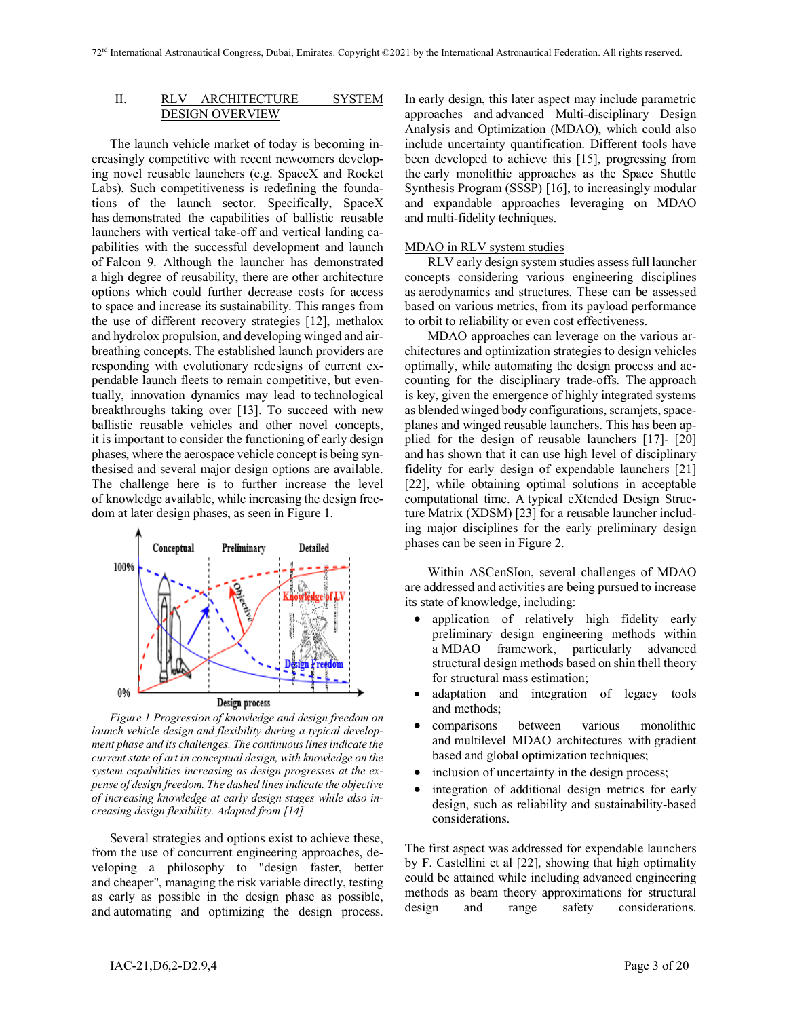# II. RLV ARCHITECTURE – SYSTEM DESIGN OVERVIEW

The launch vehicle market of today is becoming increasingly competitive with recent newcomers developing novel reusable launchers (e.g. SpaceX and Rocket Labs). Such competitiveness is redefining the foundations of the launch sector. Specifically, SpaceX has demonstrated the capabilities of ballistic reusable launchers with vertical take-off and vertical landing capabilities with the successful development and launch of Falcon 9. Although the launcher has demonstrated a high degree of reusability, there are other architecture options which could further decrease costs for access to space and increase its sustainability. This ranges from the use of different recovery strategies [12], methalox and hydrolox propulsion, and developing winged and airbreathing concepts. The established launch providers are responding with evolutionary redesigns of current expendable launch fleets to remain competitive, but eventually, innovation dynamics may lead to technological breakthroughs taking over [13]. To succeed with new ballistic reusable vehicles and other novel concepts, it is important to consider the functioning of early design phases, where the aerospace vehicle concept is being synthesised and several major design options are available. The challenge here is to further increase the level of knowledge available, while increasing the design freedom at later design phases, as seen in Figure 1.



*Figure 1 Progression of knowledge and design freedom on launch vehicle design and flexibility during a typical development phase and its challenges. The continuous lines indicate the current state of art in conceptual design, with knowledge on the system capabilities increasing as design progresses at the expense of design freedom. The dashed lines indicate the objective of increasing knowledge at early design stages while also increasing design flexibility. Adapted from [14]*

Several strategies and options exist to achieve these, from the use of concurrent engineering approaches, developing a philosophy to "design faster, better and cheaper", managing the risk variable directly, testing as early as possible in the design phase as possible, and automating and optimizing the design process. In early design, this later aspect may include parametric approaches and advanced Multi-disciplinary Design Analysis and Optimization (MDAO), which could also include uncertainty quantification. Different tools have been developed to achieve this [15], progressing from the early monolithic approaches as the Space Shuttle Synthesis Program (SSSP) [16], to increasingly modular and expandable approaches leveraging on MDAO and multi-fidelity techniques.

#### MDAO in RLV system studies

RLV early design system studies assess full launcher concepts considering various engineering disciplines as aerodynamics and structures. These can be assessed based on various metrics, from its payload performance to orbit to reliability or even cost effectiveness.

MDAO approaches can leverage on the various architectures and optimization strategies to design vehicles optimally, while automating the design process and accounting for the disciplinary trade-offs. The approach is key, given the emergence of highly integrated systems as blended winged body configurations, scramjets, spaceplanes and winged reusable launchers. This has been applied for the design of reusable launchers [17]- [20] and has shown that it can use high level of disciplinary fidelity for early design of expendable launchers [21] [22], while obtaining optimal solutions in acceptable computational time. A typical eXtended Design Structure Matrix (XDSM) [23] for a reusable launcher including major disciplines for the early preliminary design phases can be seen in Figure 2.

Within ASCenSIon, several challenges of MDAO are addressed and activities are being pursued to increase its state of knowledge, including:

- application of relatively high fidelity early preliminary design engineering methods within a MDAO framework, particularly advanced structural design methods based on shin thell theory for structural mass estimation;
- adaptation and integration of legacy tools and methods;
- comparisons between various monolithic and multilevel MDAO architectures with gradient based and global optimization techniques;
- inclusion of uncertainty in the design process;
- integration of additional design metrics for early design, such as reliability and sustainability-based considerations.

The first aspect was addressed for expendable launchers by F. Castellini et al [22], showing that high optimality could be attained while including advanced engineering methods as beam theory approximations for structural design and range safety considerations.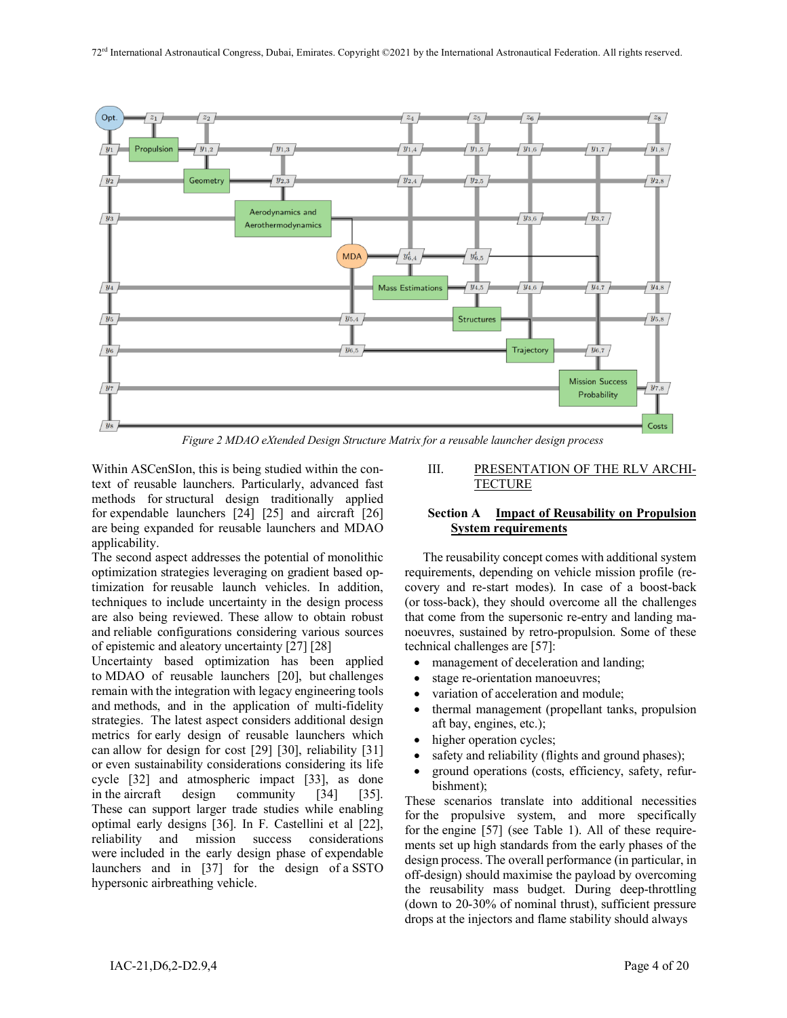

*Figure 2 MDAO eXtended Design Structure Matrix for a reusable launcher design process*

Within ASCenSIon, this is being studied within the context of reusable launchers. Particularly, advanced fast methods for structural design traditionally applied for expendable launchers [24] [25] and aircraft [26] are being expanded for reusable launchers and MDAO applicability.

The second aspect addresses the potential of monolithic optimization strategies leveraging on gradient based optimization for reusable launch vehicles. In addition, techniques to include uncertainty in the design process are also being reviewed. These allow to obtain robust and reliable configurations considering various sources of epistemic and aleatory uncertainty [27] [28]

Uncertainty based optimization has been applied to MDAO of reusable launchers [20], but challenges remain with the integration with legacy engineering tools and methods, and in the application of multi-fidelity strategies. The latest aspect considers additional design metrics for early design of reusable launchers which can allow for design for cost [29] [30], reliability [31] or even sustainability considerations considering its life cycle [32] and atmospheric impact [33], as done in the aircraft design community [34] [35]. These can support larger trade studies while enabling optimal early designs [36]. In F. Castellini et al [22], reliability and mission success considerations were included in the early design phase of expendable launchers and in [37] for the design of a SSTO hypersonic airbreathing vehicle.

III. PRESENTATION OF THE RLV ARCHI-**TECTURE** 

# **Section A Impact of Reusability on Propulsion System requirements**

The reusability concept comes with additional system requirements, depending on vehicle mission profile (recovery and re-start modes). In case of a boost-back (or toss-back), they should overcome all the challenges that come from the supersonic re-entry and landing manoeuvres, sustained by retro-propulsion. Some of these technical challenges are [57]:

- management of deceleration and landing;
- stage re-orientation manoeuvres;
- variation of acceleration and module;
- thermal management (propellant tanks, propulsion aft bay, engines, etc.);
- higher operation cycles;
- safety and reliability (flights and ground phases);
- ground operations (costs, efficiency, safety, refurbishment);

These scenarios translate into additional necessities for the propulsive system, and more specifically for the engine [57] (see Table 1). All of these requirements set up high standards from the early phases of the design process. The overall performance (in particular, in off-design) should maximise the payload by overcoming the reusability mass budget. During deep-throttling (down to 20-30% of nominal thrust), sufficient pressure drops at the injectors and flame stability should always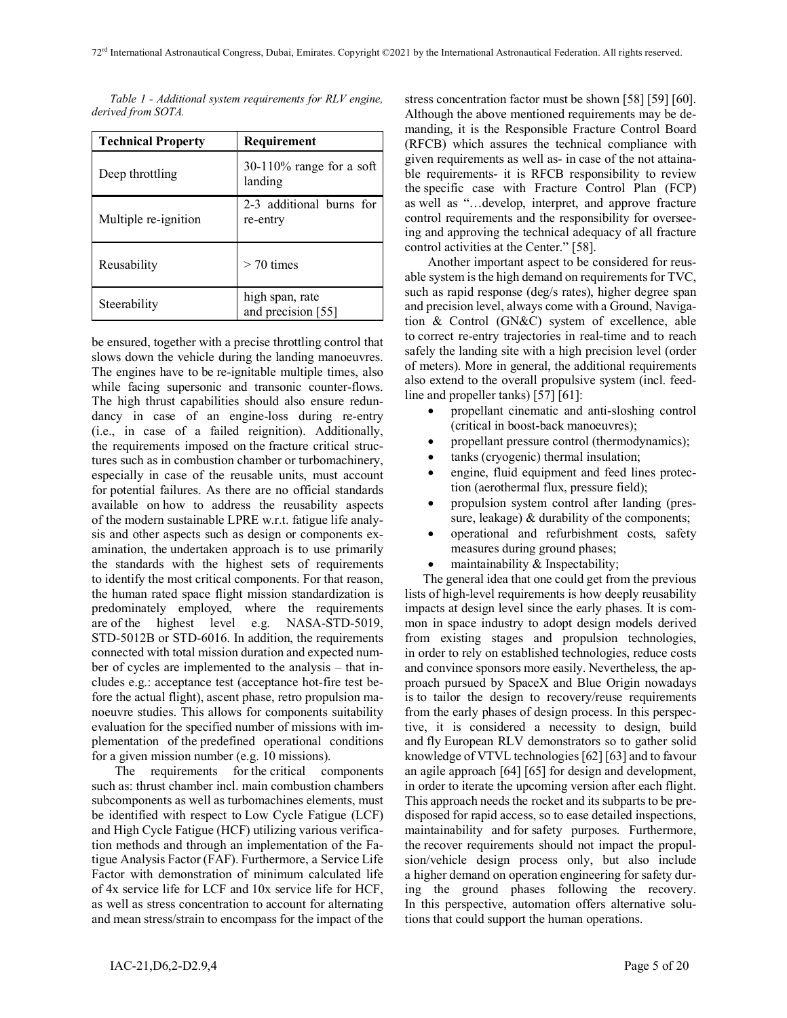*Table 1 - Additional system requirements for RLV engine, derived from SOTA.*

| <b>Technical Property</b> | Requirement                            |  |  |
|---------------------------|----------------------------------------|--|--|
| Deep throttling           | $30-110\%$ range for a soft<br>landing |  |  |
| Multiple re-ignition      | 2-3 additional burns for<br>re-entry   |  |  |
| Reusability               | $>$ 70 times                           |  |  |
| Steerability              | high span, rate<br>and precision [55]  |  |  |

be ensured, together with a precise throttling control that slows down the vehicle during the landing manoeuvres. The engines have to be re-ignitable multiple times, also while facing supersonic and transonic counter-flows. The high thrust capabilities should also ensure redundancy in case of an engine-loss during re-entry (i.e., in case of a failed reignition). Additionally, the requirements imposed on the fracture critical structures such as in combustion chamber or turbomachinery, especially in case of the reusable units, must account for potential failures. As there are no official standards available on how to address the reusability aspects of the modern sustainable LPRE w.r.t. fatigue life analysis and other aspects such as design or components examination, the undertaken approach is to use primarily the standards with the highest sets of requirements to identify the most critical components. For that reason, the human rated space flight mission standardization is predominately employed, where the requirements are of the highest level e.g. NASA-STD-5019, STD-5012B or STD-6016. In addition, the requirements connected with total mission duration and expected number of cycles are implemented to the analysis – that includes e.g.: acceptance test (acceptance hot-fire test before the actual flight), ascent phase, retro propulsion manoeuvre studies. This allows for components suitability evaluation for the specified number of missions with implementation of the predefined operational conditions for a given mission number (e.g. 10 missions).

The requirements for the critical components such as: thrust chamber incl. main combustion chambers subcomponents as well as turbomachines elements, must be identified with respect to Low Cycle Fatigue (LCF) and High Cycle Fatigue (HCF) utilizing various verification methods and through an implementation of the Fatigue Analysis Factor (FAF). Furthermore, a Service Life Factor with demonstration of minimum calculated life of 4x service life for LCF and 10x service life for HCF, as well as stress concentration to account for alternating and mean stress/strain to encompass for the impact of the

stress concentration factor must be shown [58] [59] [60]. Although the above mentioned requirements may be demanding, it is the Responsible Fracture Control Board (RFCB) which assures the technical compliance with given requirements as well as- in case of the not attainable requirements- it is RFCB responsibility to review the specific case with Fracture Control Plan (FCP) as well as "…develop, interpret, and approve fracture control requirements and the responsibility for overseeing and approving the technical adequacy of all fracture control activities at the Center." [58].

Another important aspect to be considered for reusable system is the high demand on requirements for TVC, such as rapid response (deg/s rates), higher degree span and precision level, always come with a Ground, Navigation & Control (GN&C) system of excellence, able to correct re-entry trajectories in real-time and to reach safely the landing site with a high precision level (order of meters). More in general, the additional requirements also extend to the overall propulsive system (incl. feedline and propeller tanks) [57] [61]:

- propellant cinematic and anti-sloshing control (critical in boost-back manoeuvres);
- propellant pressure control (thermodynamics);
- tanks (cryogenic) thermal insulation;
- engine, fluid equipment and feed lines protection (aerothermal flux, pressure field);
- propulsion system control after landing (pressure, leakage) & durability of the components;
- operational and refurbishment costs, safety measures during ground phases;
- maintainability  $&$  Inspectability;

The general idea that one could get from the previous lists of high-level requirements is how deeply reusability impacts at design level since the early phases. It is common in space industry to adopt design models derived from existing stages and propulsion technologies, in order to rely on established technologies, reduce costs and convince sponsors more easily. Nevertheless, the approach pursued by SpaceX and Blue Origin nowadays is to tailor the design to recovery/reuse requirements from the early phases of design process. In this perspective, it is considered a necessity to design, build and fly European RLV demonstrators so to gather solid knowledge of VTVL technologies [62] [63] and to favour an agile approach [64] [65] for design and development, in order to iterate the upcoming version after each flight. This approach needs the rocket and its subparts to be predisposed for rapid access, so to ease detailed inspections, maintainability and for safety purposes. Furthermore, the recover requirements should not impact the propulsion/vehicle design process only, but also include a higher demand on operation engineering for safety during the ground phases following the recovery. In this perspective, automation offers alternative solutions that could support the human operations.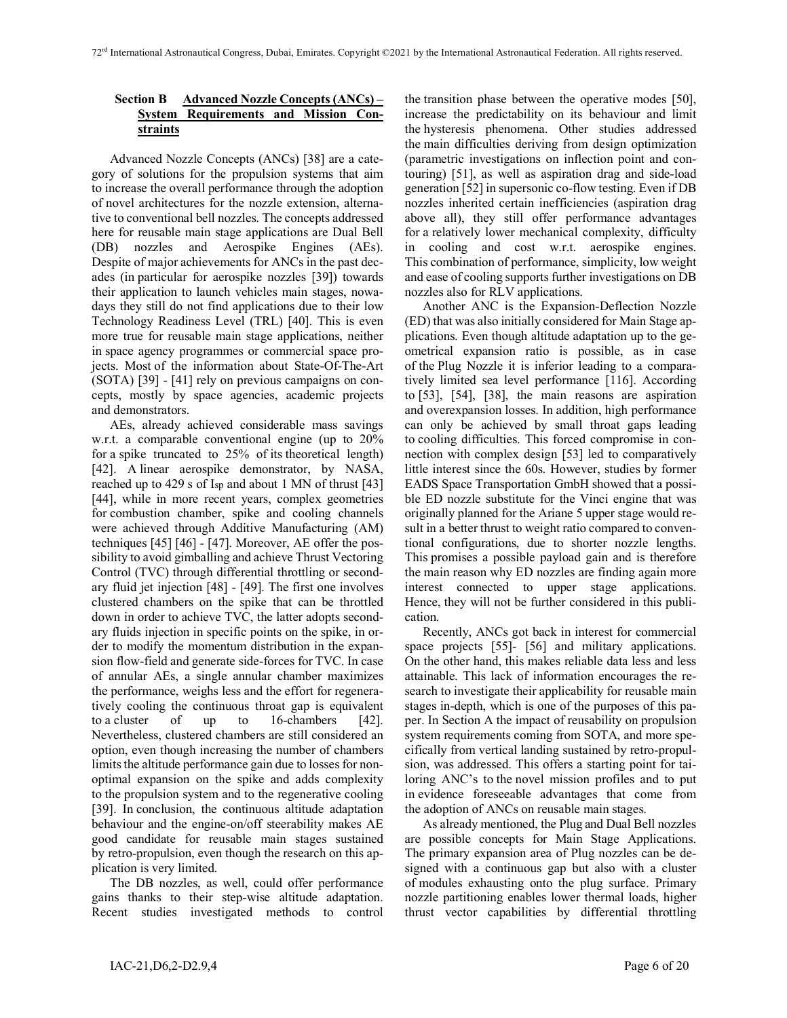## **Section B Advanced Nozzle Concepts (ANCs) – System Requirements and Mission Constraints**

Advanced Nozzle Concepts (ANCs) [38] are a category of solutions for the propulsion systems that aim to increase the overall performance through the adoption of novel architectures for the nozzle extension, alternative to conventional bell nozzles. The concepts addressed here for reusable main stage applications are Dual Bell (DB) nozzles and Aerospike Engines (AEs). Despite of major achievements for ANCs in the past decades (in particular for aerospike nozzles [39]) towards their application to launch vehicles main stages, nowadays they still do not find applications due to their low Technology Readiness Level (TRL) [40]. This is even more true for reusable main stage applications, neither in space agency programmes or commercial space projects. Most of the information about State-Of-The-Art (SOTA) [39] - [41] rely on previous campaigns on concepts, mostly by space agencies, academic projects and demonstrators.

AEs, already achieved considerable mass savings w.r.t. a comparable conventional engine (up to 20% for a spike truncated to 25% of its theoretical length) [42]. A linear aerospike demonstrator, by NASA, reached up to 429 s of Isp and about 1 MN of thrust [43] [44], while in more recent years, complex geometries for combustion chamber, spike and cooling channels were achieved through Additive Manufacturing (AM) techniques [45] [46] - [47]. Moreover, AE offer the possibility to avoid gimballing and achieve Thrust Vectoring Control (TVC) through differential throttling or secondary fluid jet injection [48] - [49]. The first one involves clustered chambers on the spike that can be throttled down in order to achieve TVC, the latter adopts secondary fluids injection in specific points on the spike, in order to modify the momentum distribution in the expansion flow-field and generate side-forces for TVC. In case of annular AEs, a single annular chamber maximizes the performance, weighs less and the effort for regeneratively cooling the continuous throat gap is equivalent to a cluster of up to 16-chambers [42]. Nevertheless, clustered chambers are still considered an option, even though increasing the number of chambers limits the altitude performance gain due to losses for nonoptimal expansion on the spike and adds complexity to the propulsion system and to the regenerative cooling [39]. In conclusion, the continuous altitude adaptation behaviour and the engine-on/off steerability makes AE good candidate for reusable main stages sustained by retro-propulsion, even though the research on this application is very limited.

The DB nozzles, as well, could offer performance gains thanks to their step-wise altitude adaptation. Recent studies investigated methods to control the transition phase between the operative modes [50], increase the predictability on its behaviour and limit the hysteresis phenomena. Other studies addressed the main difficulties deriving from design optimization (parametric investigations on inflection point and contouring) [51], as well as aspiration drag and side-load generation [52] in supersonic co-flow testing. Even if DB nozzles inherited certain inefficiencies (aspiration drag above all), they still offer performance advantages for a relatively lower mechanical complexity, difficulty in cooling and cost w.r.t. aerospike engines. This combination of performance, simplicity, low weight and ease of cooling supports further investigations on DB nozzles also for RLV applications.

Another ANC is the Expansion-Deflection Nozzle (ED) that was also initially considered for Main Stage applications. Even though altitude adaptation up to the geometrical expansion ratio is possible, as in case of the Plug Nozzle it is inferior leading to a comparatively limited sea level performance [116]. According to [53], [54], [38], the main reasons are aspiration and overexpansion losses. In addition, high performance can only be achieved by small throat gaps leading to cooling difficulties. This forced compromise in connection with complex design [53] led to comparatively little interest since the 60s. However, studies by former EADS Space Transportation GmbH showed that a possible ED nozzle substitute for the Vinci engine that was originally planned for the Ariane 5 upper stage would result in a better thrust to weight ratio compared to conventional configurations, due to shorter nozzle lengths. This promises a possible payload gain and is therefore the main reason why ED nozzles are finding again more interest connected to upper stage applications. Hence, they will not be further considered in this publication.

Recently, ANCs got back in interest for commercial space projects [55]- [56] and military applications. On the other hand, this makes reliable data less and less attainable. This lack of information encourages the research to investigate their applicability for reusable main stages in-depth, which is one of the purposes of this paper. In Section A the impact of reusability on propulsion system requirements coming from SOTA, and more specifically from vertical landing sustained by retro-propulsion, was addressed. This offers a starting point for tailoring ANC's to the novel mission profiles and to put in evidence foreseeable advantages that come from the adoption of ANCs on reusable main stages.

As already mentioned, the Plug and Dual Bell nozzles are possible concepts for Main Stage Applications. The primary expansion area of Plug nozzles can be designed with a continuous gap but also with a cluster of modules exhausting onto the plug surface. Primary nozzle partitioning enables lower thermal loads, higher thrust vector capabilities by differential throttling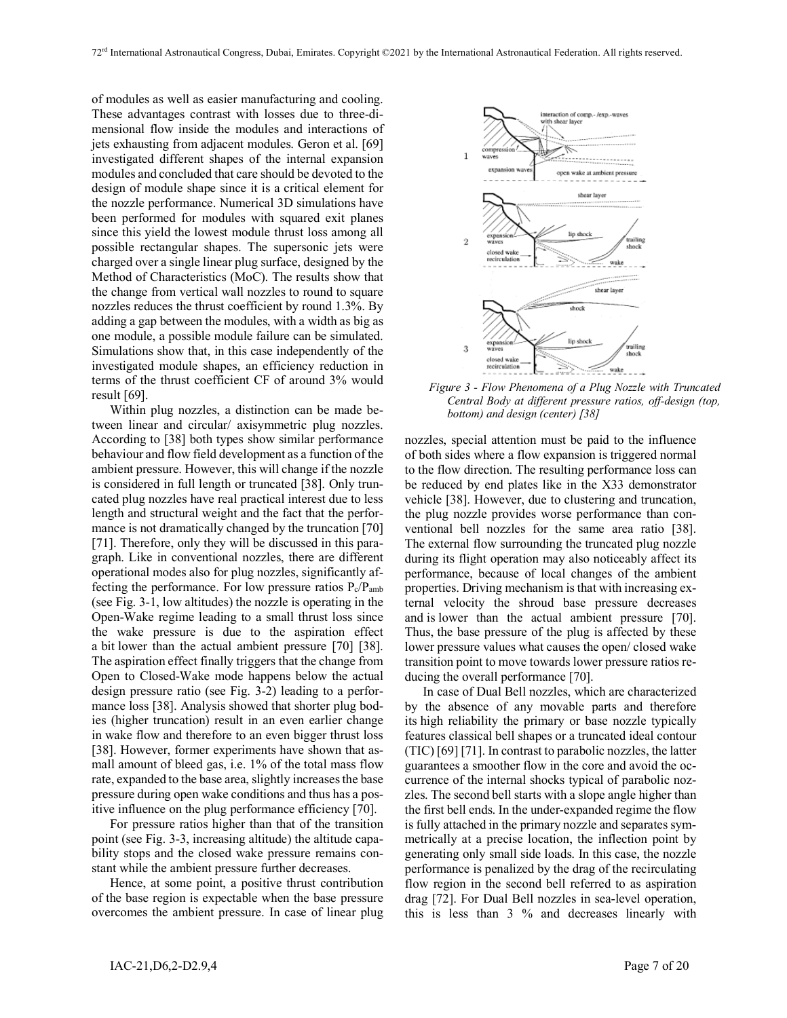of modules as well as easier manufacturing and cooling. These advantages contrast with losses due to three-dimensional flow inside the modules and interactions of jets exhausting from adjacent modules. Geron et al. [69] investigated different shapes of the internal expansion modules and concluded that care should be devoted to the design of module shape since it is a critical element for the nozzle performance. Numerical 3D simulations have been performed for modules with squared exit planes since this yield the lowest module thrust loss among all possible rectangular shapes. The supersonic jets were charged over a single linear plug surface, designed by the Method of Characteristics (MoC). The results show that the change from vertical wall nozzles to round to square nozzles reduces the thrust coefficient by round 1.3%. By adding a gap between the modules, with a width as big as one module, a possible module failure can be simulated. Simulations show that, in this case independently of the investigated module shapes, an efficiency reduction in terms of the thrust coefficient CF of around 3% would result [69].

Within plug nozzles, a distinction can be made between linear and circular/ axisymmetric plug nozzles. According to [38] both types show similar performance behaviour and flow field development as a function of the ambient pressure. However, this will change if the nozzle is considered in full length or truncated [38]. Only truncated plug nozzles have real practical interest due to less length and structural weight and the fact that the performance is not dramatically changed by the truncation [70] [71]. Therefore, only they will be discussed in this paragraph. Like in conventional nozzles, there are different operational modes also for plug nozzles, significantly affecting the performance. For low pressure ratios Pc/Pamb (see Fig. 3-1, low altitudes) the nozzle is operating in the Open-Wake regime leading to a small thrust loss since the wake pressure is due to the aspiration effect a bit lower than the actual ambient pressure [70] [38]. The aspiration effect finally triggers that the change from Open to Closed-Wake mode happens below the actual design pressure ratio (see Fig. 3-2) leading to a performance loss [38]. Analysis showed that shorter plug bodies (higher truncation) result in an even earlier change in wake flow and therefore to an even bigger thrust loss [38]. However, former experiments have shown that asmall amount of bleed gas, i.e. 1% of the total mass flow rate, expanded to the base area, slightly increases the base pressure during open wake conditions and thus has a positive influence on the plug performance efficiency [70].

For pressure ratios higher than that of the transition point (see Fig. 3-3, increasing altitude) the altitude capability stops and the closed wake pressure remains constant while the ambient pressure further decreases.

Hence, at some point, a positive thrust contribution of the base region is expectable when the base pressure overcomes the ambient pressure. In case of linear plug



*Figure 3 - Flow Phenomena of a Plug Nozzle with Truncated Central Body at different pressure ratios, off-design (top, bottom) and design (center) [38]*

nozzles, special attention must be paid to the influence of both sides where a flow expansion is triggered normal to the flow direction. The resulting performance loss can be reduced by end plates like in the X33 demonstrator vehicle [38]. However, due to clustering and truncation, the plug nozzle provides worse performance than conventional bell nozzles for the same area ratio [38]. The external flow surrounding the truncated plug nozzle during its flight operation may also noticeably affect its performance, because of local changes of the ambient properties. Driving mechanism is that with increasing external velocity the shroud base pressure decreases and is lower than the actual ambient pressure [70]. Thus, the base pressure of the plug is affected by these lower pressure values what causes the open/ closed wake transition point to move towards lower pressure ratios reducing the overall performance [70].

In case of Dual Bell nozzles, which are characterized by the absence of any movable parts and therefore its high reliability the primary or base nozzle typically features classical bell shapes or a truncated ideal contour (TIC) [69] [71]. In contrast to parabolic nozzles, the latter guarantees a smoother flow in the core and avoid the occurrence of the internal shocks typical of parabolic nozzles. The second bell starts with a slope angle higher than the first bell ends. In the under-expanded regime the flow is fully attached in the primary nozzle and separates symmetrically at a precise location, the inflection point by generating only small side loads. In this case, the nozzle performance is penalized by the drag of the recirculating flow region in the second bell referred to as aspiration drag [72]. For Dual Bell nozzles in sea-level operation, this is less than 3 % and decreases linearly with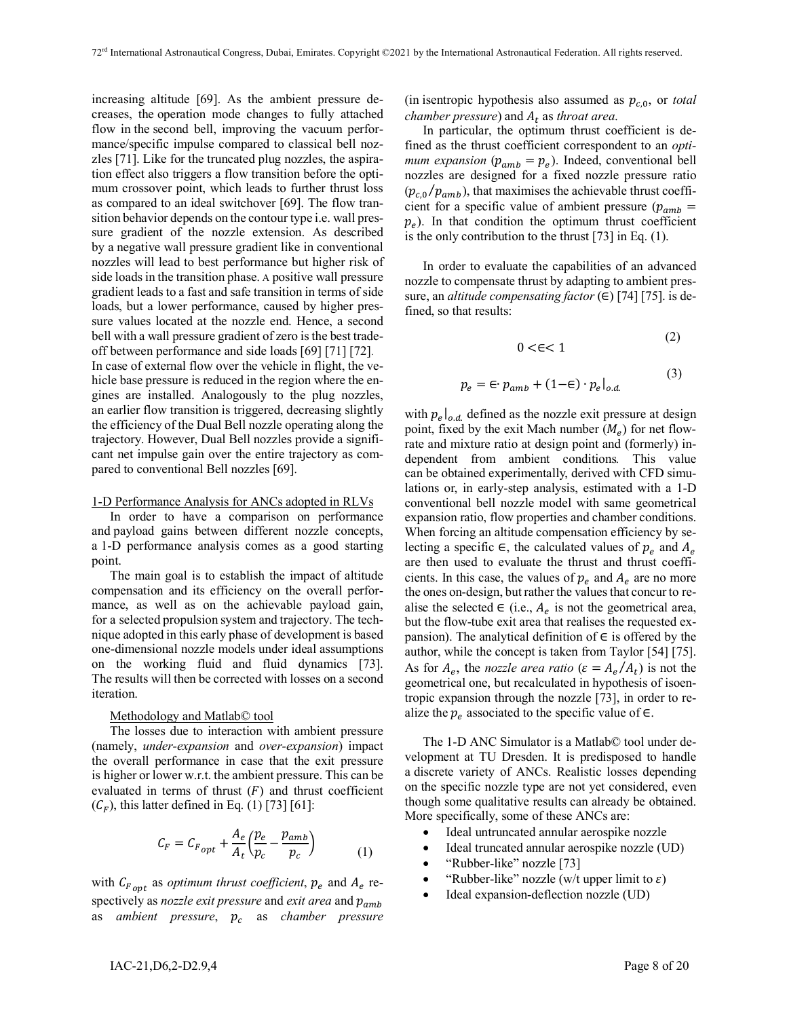increasing altitude [69]. As the ambient pressure decreases, the operation mode changes to fully attached flow in the second bell, improving the vacuum performance/specific impulse compared to classical bell nozzles [71]. Like for the truncated plug nozzles, the aspiration effect also triggers a flow transition before the optimum crossover point, which leads to further thrust loss as compared to an ideal switchover [69]. The flow transition behavior depends on the contour type i.e. wall pressure gradient of the nozzle extension. As described by a negative wall pressure gradient like in conventional nozzles will lead to best performance but higher risk of side loads in the transition phase. A positive wall pressure gradient leads to a fast and safe transition in terms of side loads, but a lower performance, caused by higher pressure values located at the nozzle end. Hence, a second bell with a wall pressure gradient of zero is the best tradeoff between performance and side loads [69] [71] [72]. In case of external flow over the vehicle in flight, the vehicle base pressure is reduced in the region where the engines are installed. Analogously to the plug nozzles, an earlier flow transition is triggered, decreasing slightly the efficiency of the Dual Bell nozzle operating along the trajectory. However, Dual Bell nozzles provide a significant net impulse gain over the entire trajectory as com-

#### 1-D Performance Analysis for ANCs adopted in RLVs

pared to conventional Bell nozzles [69].

In order to have a comparison on performance and payload gains between different nozzle concepts, a 1-D performance analysis comes as a good starting point.

The main goal is to establish the impact of altitude compensation and its efficiency on the overall performance, as well as on the achievable payload gain, for a selected propulsion system and trajectory. The technique adopted in this early phase of development is based one-dimensional nozzle models under ideal assumptions on the working fluid and fluid dynamics [73]. The results will then be corrected with losses on a second iteration.

#### Methodology and Matlab© tool

The losses due to interaction with ambient pressure (namely, *under-expansion* and *over-expansion*) impact the overall performance in case that the exit pressure is higher or lower w.r.t. the ambient pressure. This can be evaluated in terms of thrust  $(F)$  and thrust coefficient  $(C_F)$ , this latter defined in Eq. (1) [73] [61]:

$$
C_F = C_{F_{opt}} + \frac{A_e}{A_t} \left(\frac{p_e}{p_c} - \frac{p_{amb}}{p_c}\right)
$$
 (1)

with  $C_{F_{opt}}$  as *optimum thrust coefficient*,  $p_e$  and  $A_e$  respectively as *nozzle exit pressure* and *exit area* and  $p_{amb}$ as *ambient pressure*,  $p_c$  as *chamber pressure*  (in isentropic hypothesis also assumed as  $p_{c,0}$ , or *total chamber pressure*) and  $A_t$  as *throat area*.

In particular, the optimum thrust coefficient is defined as the thrust coefficient correspondent to an *optimum expansion* ( $p_{amb} = p_e$ ). Indeed, conventional bell nozzles are designed for a fixed nozzle pressure ratio  $(p_{c,0} / p_{amb})$ , that maximises the achievable thrust coefficient for a specific value of ambient pressure ( $p_{amb}$  =  $p_e$ ). In that condition the optimum thrust coefficient is the only contribution to the thrust [73] in Eq. (1).

In order to evaluate the capabilities of an advanced nozzle to compensate thrust by adapting to ambient pressure, an *altitude compensating factor* (∈) [74] [75]. is defined, so that results:

 $p_e =$ 

$$
0 \le \infty < 1
$$
\n
$$
\in p_{amb} + (1 - \in) \cdot p_e|_{o.d.}
$$
\n(3)

with  $p_e|_{o.d.}$  defined as the nozzle exit pressure at design point, fixed by the exit Mach number  $(M_e)$  for net flowrate and mixture ratio at design point and (formerly) independent from ambient conditions*.* This value can be obtained experimentally, derived with CFD simulations or, in early-step analysis, estimated with a 1-D conventional bell nozzle model with same geometrical expansion ratio, flow properties and chamber conditions. When forcing an altitude compensation efficiency by selecting a specific ∈, the calculated values of  $p_e$  and  $A_e$ are then used to evaluate the thrust and thrust coefficients. In this case, the values of  $p_e$  and  $A_e$  are no more the ones on-design, but rather the values that concur to realise the selected  $\in$  (i.e.,  $A_e$  is not the geometrical area, but the flow-tube exit area that realises the requested expansion). The analytical definition of  $\in$  is offered by the author, while the concept is taken from Taylor [54] [75]. As for  $A_e$ , the *nozzle area ratio* ( $\varepsilon = A_e / A_t$ ) is not the geometrical one, but recalculated in hypothesis of isoentropic expansion through the nozzle [73], in order to realize the  $p_e$  associated to the specific value of ∈.

The 1-D ANC Simulator is a Matlab© tool under development at TU Dresden. It is predisposed to handle a discrete variety of ANCs. Realistic losses depending on the specific nozzle type are not yet considered, even though some qualitative results can already be obtained. More specifically, some of these ANCs are:

- Ideal untruncated annular aerospike nozzle
- Ideal truncated annular aerospike nozzle (UD)
- "Rubber-like" nozzle [73]
- "Rubber-like" nozzle (w/t upper limit to  $\varepsilon$ )
- Ideal expansion-deflection nozzle (UD)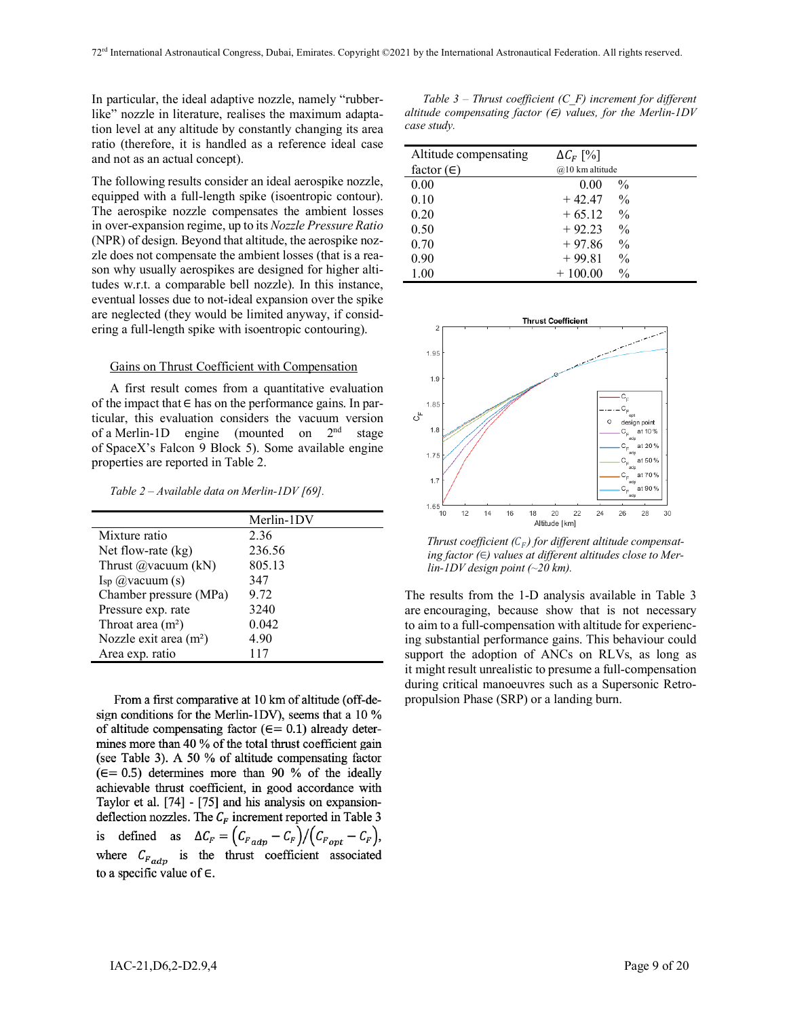In particular, the ideal adaptive nozzle, namely "rubberlike" nozzle in literature, realises the maximum adaptation level at any altitude by constantly changing its area ratio (therefore, it is handled as a reference ideal case and not as an actual concept).

The following results consider an ideal aerospike nozzle, equipped with a full-length spike (isoentropic contour). The aerospike nozzle compensates the ambient losses in over-expansion regime, up to its *Nozzle Pressure Ratio* (NPR) of design. Beyond that altitude, the aerospike nozzle does not compensate the ambient losses (that is a reason why usually aerospikes are designed for higher altitudes w.r.t. a comparable bell nozzle). In this instance, eventual losses due to not-ideal expansion over the spike are neglected (they would be limited anyway, if considering a full-length spike with isoentropic contouring).

### Gains on Thrust Coefficient with Compensation

A first result comes from a quantitative evaluation of the impact that  $∈$  has on the performance gains. In particular, this evaluation considers the vacuum version of a Merlin-1D engine (mounted on 2<sup>nd</sup> stage of SpaceX's Falcon 9 Block 5). Some available engine properties are reported in Table 2.

*Table 2 – Available data on Merlin-1DV [69].*

From a first comparative at 10 km of altitude (off-design conditions for the Merlin-1DV), seems that a 10 % of altitude compensating factor ( $\epsilon$ = 0.1) already determines more than 40 % of the total thrust coefficient gain (see Table 3). A 50 % of altitude compensating factor  $(\epsilon = 0.5)$  determines more than 90 % of the ideally achievable thrust coefficient, in good accordance with Taylor et al. [74] - [75] and his analysis on expansiondeflection nozzles. The  $C_F$  increment reported in Table 3 defined as  $\Delta C_F = (C_{F \, adp} - C_F) / (C_{F \, opt} - C_F)$ , is where  $C_{F_{adm}}$  is the thrust coefficient associated to a specific value of  $\in$ .

*Table 3 – Thrust coefficient (C\_F) increment for different altitude compensating factor (*∈*) values, for the Merlin-1DV case study.*

| Altitude compensating | $\Delta C_F$ [%]           |  |
|-----------------------|----------------------------|--|
| factor $(\in)$        | @10 km altitude            |  |
| 0.00                  | $\frac{0}{0}$<br>0.00      |  |
| 0.10                  | $\frac{0}{0}$<br>$+42.47$  |  |
| 0.20                  | $\frac{0}{0}$<br>$+65.12$  |  |
| 0.50                  | $+92.23$<br>$\frac{0}{0}$  |  |
| 0.70                  | $\frac{0}{0}$<br>$+97.86$  |  |
| 0.90                  | $+99.81$<br>$\frac{0}{0}$  |  |
| 1.00                  | $\frac{0}{0}$<br>$+100.00$ |  |



*Thrust coefficient*  $(C_F)$  *for different altitude compensating factor (*∈*) values at different altitudes close to Merlin-1DV design point (~20 km).*

The results from the 1-D analysis available in Table 3 are encouraging, because show that is not necessary to aim to a full-compensation with altitude for experiencing substantial performance gains. This behaviour could support the adoption of ANCs on RLVs, as long as it might result unrealistic to presume a full-compensation during critical manoeuvres such as a Supersonic Retropropulsion Phase (SRP) or a landing burn.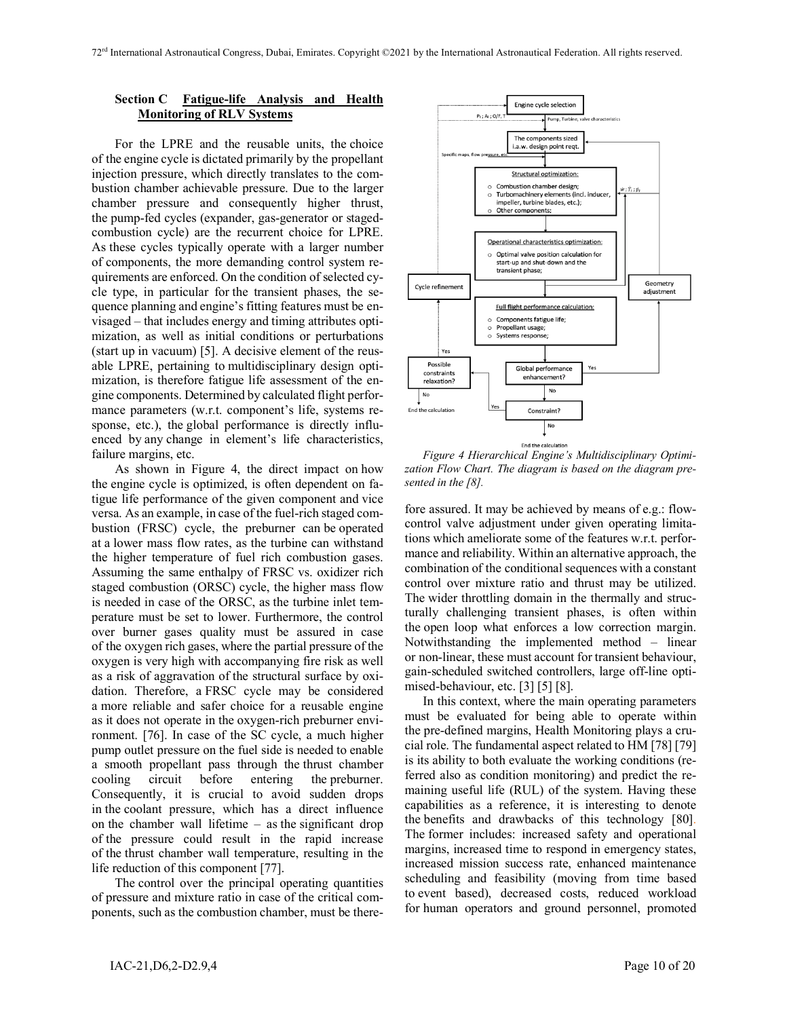### **Section C Fatigue-life Analysis and Health Monitoring of RLV Systems**

For the LPRE and the reusable units, the choice of the engine cycle is dictated primarily by the propellant injection pressure, which directly translates to the combustion chamber achievable pressure. Due to the larger chamber pressure and consequently higher thrust, the pump-fed cycles (expander, gas-generator or stagedcombustion cycle) are the recurrent choice for LPRE. As these cycles typically operate with a larger number of components, the more demanding control system requirements are enforced. On the condition of selected cycle type, in particular for the transient phases, the sequence planning and engine's fitting features must be envisaged – that includes energy and timing attributes optimization, as well as initial conditions or perturbations (start up in vacuum) [5]. A decisive element of the reusable LPRE, pertaining to multidisciplinary design optimization, is therefore fatigue life assessment of the engine components. Determined by calculated flight performance parameters (w.r.t. component's life, systems response, etc.), the global performance is directly influenced by any change in element's life characteristics, failure margins, etc.

As shown in Figure 4, the direct impact on how the engine cycle is optimized, is often dependent on fatigue life performance of the given component and vice versa. As an example, in case of the fuel-rich staged combustion (FRSC) cycle, the preburner can be operated at a lower mass flow rates, as the turbine can withstand the higher temperature of fuel rich combustion gases. Assuming the same enthalpy of FRSC vs. oxidizer rich staged combustion (ORSC) cycle, the higher mass flow is needed in case of the ORSC, as the turbine inlet temperature must be set to lower. Furthermore, the control over burner gases quality must be assured in case of the oxygen rich gases, where the partial pressure of the oxygen is very high with accompanying fire risk as well as a risk of aggravation of the structural surface by oxidation. Therefore, a FRSC cycle may be considered a more reliable and safer choice for a reusable engine as it does not operate in the oxygen-rich preburner environment. [76]. In case of the SC cycle, a much higher pump outlet pressure on the fuel side is needed to enable a smooth propellant pass through the thrust chamber cooling circuit before entering the preburner. Consequently, it is crucial to avoid sudden drops in the coolant pressure, which has a direct influence on the chamber wall lifetime – as the significant drop of the pressure could result in the rapid increase of the thrust chamber wall temperature, resulting in the life reduction of this component [77].

The control over the principal operating quantities of pressure and mixture ratio in case of the critical components, such as the combustion chamber, must be there-



*Figure 4 Hierarchical Engine's Multidisciplinary Optimization Flow Chart. The diagram is based on the diagram presented in the [8].*

fore assured. It may be achieved by means of e.g.: flowcontrol valve adjustment under given operating limitations which ameliorate some of the features w.r.t. performance and reliability. Within an alternative approach, the combination of the conditional sequences with a constant control over mixture ratio and thrust may be utilized. The wider throttling domain in the thermally and structurally challenging transient phases, is often within the open loop what enforces a low correction margin. Notwithstanding the implemented method – linear or non-linear, these must account for transient behaviour, gain-scheduled switched controllers, large off-line optimised-behaviour, etc. [3] [5] [8].

In this context, where the main operating parameters must be evaluated for being able to operate within the pre-defined margins, Health Monitoring plays a crucial role. The fundamental aspect related to HM [78] [79] is its ability to both evaluate the working conditions (referred also as condition monitoring) and predict the remaining useful life (RUL) of the system. Having these capabilities as a reference, it is interesting to denote the benefits and drawbacks of this technology [80]. The former includes: increased safety and operational margins, increased time to respond in emergency states, increased mission success rate, enhanced maintenance scheduling and feasibility (moving from time based to event based), decreased costs, reduced workload for human operators and ground personnel, promoted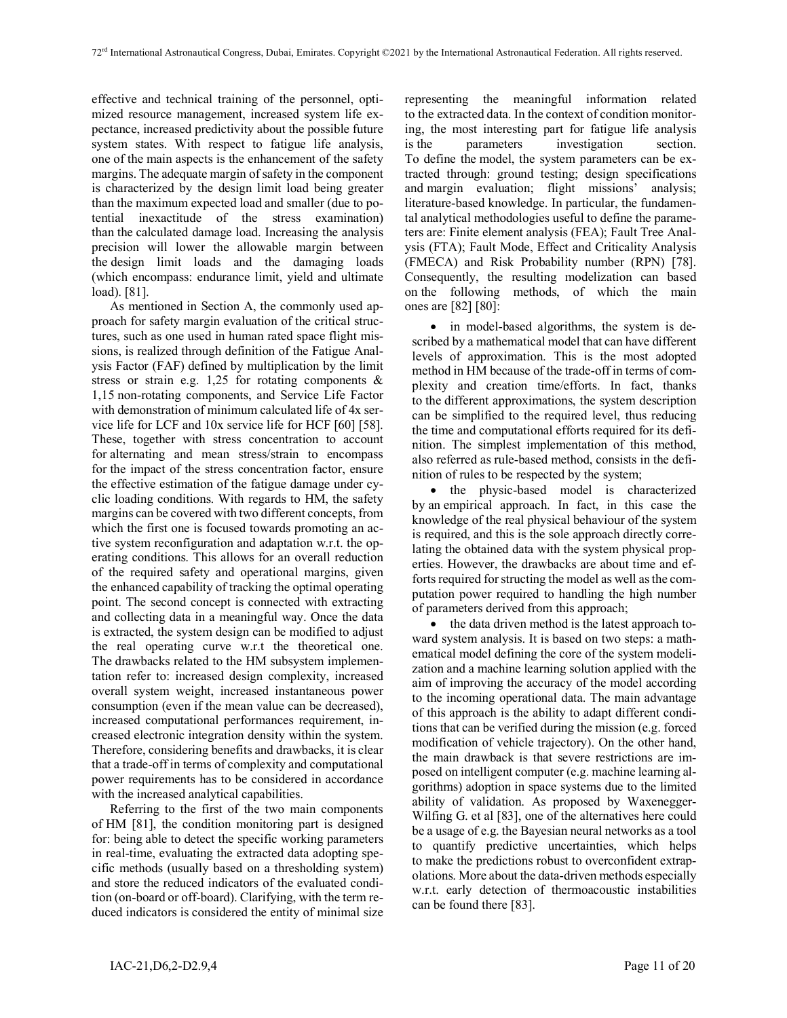effective and technical training of the personnel, optimized resource management, increased system life expectance, increased predictivity about the possible future system states. With respect to fatigue life analysis, one of the main aspects is the enhancement of the safety margins. The adequate margin of safety in the component is characterized by the design limit load being greater than the maximum expected load and smaller (due to potential inexactitude of the stress examination) than the calculated damage load. Increasing the analysis precision will lower the allowable margin between the design limit loads and the damaging loads (which encompass: endurance limit, yield and ultimate load). [81].

As mentioned in Section A, the commonly used approach for safety margin evaluation of the critical structures, such as one used in human rated space flight missions, is realized through definition of the Fatigue Analysis Factor (FAF) defined by multiplication by the limit stress or strain e.g.  $1,25$  for rotating components & 1,15 non-rotating components, and Service Life Factor with demonstration of minimum calculated life of 4x service life for LCF and 10x service life for HCF [60] [58]. These, together with stress concentration to account for alternating and mean stress/strain to encompass for the impact of the stress concentration factor, ensure the effective estimation of the fatigue damage under cyclic loading conditions. With regards to HM, the safety margins can be covered with two different concepts, from which the first one is focused towards promoting an active system reconfiguration and adaptation w.r.t. the operating conditions. This allows for an overall reduction of the required safety and operational margins, given the enhanced capability of tracking the optimal operating point. The second concept is connected with extracting and collecting data in a meaningful way. Once the data is extracted, the system design can be modified to adjust the real operating curve w.r.t the theoretical one. The drawbacks related to the HM subsystem implementation refer to: increased design complexity, increased overall system weight, increased instantaneous power consumption (even if the mean value can be decreased), increased computational performances requirement, increased electronic integration density within the system. Therefore, considering benefits and drawbacks, it is clear that a trade-off in terms of complexity and computational power requirements has to be considered in accordance with the increased analytical capabilities.

Referring to the first of the two main components of HM [81], the condition monitoring part is designed for: being able to detect the specific working parameters in real-time, evaluating the extracted data adopting specific methods (usually based on a thresholding system) and store the reduced indicators of the evaluated condition (on-board or off-board). Clarifying, with the term reduced indicators is considered the entity of minimal size

representing the meaningful information related to the extracted data. In the context of condition monitoring, the most interesting part for fatigue life analysis is the parameters investigation section. To define the model, the system parameters can be extracted through: ground testing; design specifications and margin evaluation; flight missions' analysis; literature-based knowledge. In particular, the fundamental analytical methodologies useful to define the parameters are: Finite element analysis (FEA); Fault Tree Analysis (FTA); Fault Mode, Effect and Criticality Analysis (FMECA) and Risk Probability number (RPN) [78]. Consequently, the resulting modelization can based on the following methods, of which the main ones are [82] [80]:

• in model-based algorithms, the system is described by a mathematical model that can have different levels of approximation. This is the most adopted method in HM because of the trade-off in terms of complexity and creation time/efforts. In fact, thanks to the different approximations, the system description can be simplified to the required level, thus reducing the time and computational efforts required for its definition. The simplest implementation of this method, also referred as rule-based method, consists in the definition of rules to be respected by the system;

• the physic-based model is characterized by an empirical approach. In fact, in this case the knowledge of the real physical behaviour of the system is required, and this is the sole approach directly correlating the obtained data with the system physical properties. However, the drawbacks are about time and efforts required for structing the model as well as the computation power required to handling the high number of parameters derived from this approach;

• the data driven method is the latest approach toward system analysis. It is based on two steps: a mathematical model defining the core of the system modelization and a machine learning solution applied with the aim of improving the accuracy of the model according to the incoming operational data. The main advantage of this approach is the ability to adapt different conditions that can be verified during the mission (e.g. forced modification of vehicle trajectory). On the other hand, the main drawback is that severe restrictions are imposed on intelligent computer (e.g. machine learning algorithms) adoption in space systems due to the limited ability of validation. As proposed by Waxenegger-Wilfing G. et al [83], one of the alternatives here could be a usage of e.g. the Bayesian neural networks as a tool to quantify predictive uncertainties, which helps to make the predictions robust to overconfident extrapolations. More about the data-driven methods especially w.r.t. early detection of thermoacoustic instabilities can be found there [83].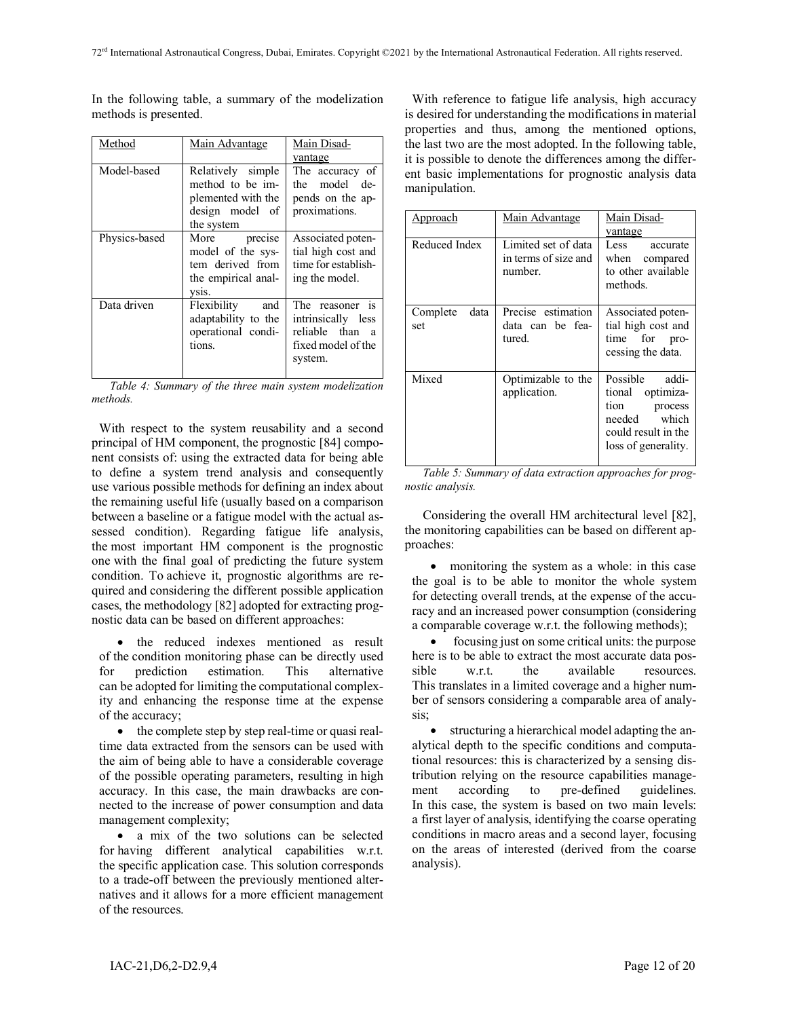In the following table, a summary of the modelization methods is presented.

| Method        | Main Advantage                                                                               | Main Disad-<br>vantage                                                                                  |
|---------------|----------------------------------------------------------------------------------------------|---------------------------------------------------------------------------------------------------------|
| Model-based   | Relatively simple<br>method to be im-<br>plemented with the<br>design model of<br>the system | The accuracy of<br>the model de-<br>pends on the ap-<br>proximations.                                   |
| Physics-based | More<br>precise<br>model of the sys-<br>tem derived from<br>the empirical anal-<br>vsis.     | Associated poten-<br>tial high cost and<br>time for establish-<br>ing the model.                        |
| Data driven   | Flexibility<br>and<br>adaptability to the<br>operational condi-<br>tions.                    | The reasoner is<br>intrinsically less<br>reliable than<br><sub>a</sub><br>fixed model of the<br>system. |

*Table 4: Summary of the three main system modelization methods.* 

With respect to the system reusability and a second principal of HM component, the prognostic [84] component consists of: using the extracted data for being able to define a system trend analysis and consequently use various possible methods for defining an index about the remaining useful life (usually based on a comparison between a baseline or a fatigue model with the actual assessed condition). Regarding fatigue life analysis, the most important HM component is the prognostic one with the final goal of predicting the future system condition. To achieve it, prognostic algorithms are required and considering the different possible application cases, the methodology [82] adopted for extracting prognostic data can be based on different approaches:

• the reduced indexes mentioned as result of the condition monitoring phase can be directly used for prediction estimation. This alternative can be adopted for limiting the computational complexity and enhancing the response time at the expense of the accuracy;

• the complete step by step real-time or quasi realtime data extracted from the sensors can be used with the aim of being able to have a considerable coverage of the possible operating parameters, resulting in high accuracy. In this case, the main drawbacks are connected to the increase of power consumption and data management complexity;

• a mix of the two solutions can be selected for having different analytical capabilities w.r.t. the specific application case. This solution corresponds to a trade-off between the previously mentioned alternatives and it allows for a more efficient management of the resources.

With reference to fatigue life analysis, high accuracy is desired for understanding the modifications in material properties and thus, among the mentioned options, the last two are the most adopted. In the following table, it is possible to denote the differences among the different basic implementations for prognostic analysis data manipulation.

| Approach                | Main Advantage                                         | Main Disad-<br>vantage                                                                                                    |  |
|-------------------------|--------------------------------------------------------|---------------------------------------------------------------------------------------------------------------------------|--|
| Reduced Index           | Limited set of data<br>in terms of size and<br>number. | Less accurate<br>when compared<br>to other available<br>methods.                                                          |  |
| Complete<br>data<br>set | Precise estimation<br>data can be fea-<br>tured.       | Associated poten-<br>tial high cost and<br>time for pro-<br>cessing the data.                                             |  |
| Mixed                   | Optimizable to the<br>application.                     | Possible<br>addi-<br>tional<br>optimiza-<br>tion<br>process<br>needed which<br>could result in the<br>loss of generality. |  |

*Table 5: Summary of data extraction approaches for prognostic analysis.* 

Considering the overall HM architectural level [82], the monitoring capabilities can be based on different approaches:

• monitoring the system as a whole: in this case the goal is to be able to monitor the whole system for detecting overall trends, at the expense of the accuracy and an increased power consumption (considering a comparable coverage w.r.t. the following methods);

• focusing just on some critical units: the purpose here is to be able to extract the most accurate data possible w.r.t. the available resources. This translates in a limited coverage and a higher number of sensors considering a comparable area of analysis;

• structuring a hierarchical model adapting the analytical depth to the specific conditions and computational resources: this is characterized by a sensing distribution relying on the resource capabilities management according to pre-defined guidelines. In this case, the system is based on two main levels: a first layer of analysis, identifying the coarse operating conditions in macro areas and a second layer, focusing on the areas of interested (derived from the coarse analysis).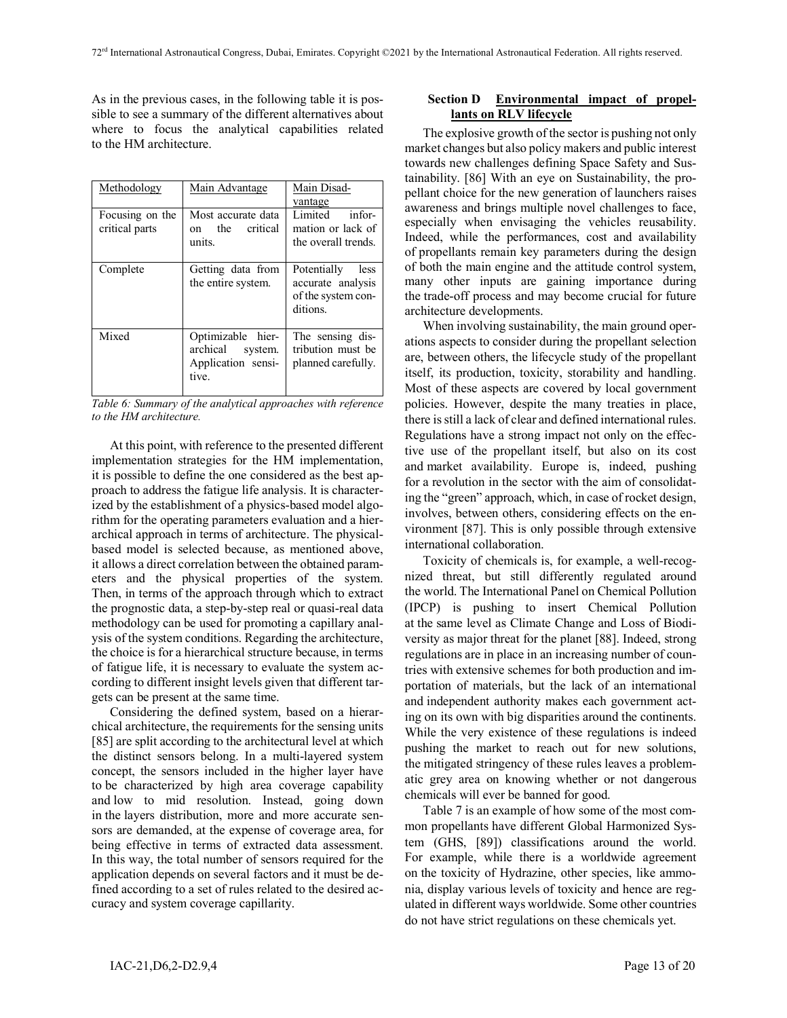As in the previous cases, in the following table it is possible to see a summary of the different alternatives about where to focus the analytical capabilities related to the HM architecture.

| Methodology                       | Main Advantage                                                          | Main Disad-<br>vantage                                                     |
|-----------------------------------|-------------------------------------------------------------------------|----------------------------------------------------------------------------|
| Focusing on the<br>critical parts | Most accurate data<br>the<br>critical<br>on<br>units.                   | Limited<br>infor-<br>mation or lack of<br>the overall trends.              |
| Complete                          | Getting data from<br>the entire system.                                 | Potentially<br>less<br>accurate analysis<br>of the system con-<br>ditions. |
| Mixed                             | Optimizable hier-<br>archical<br>system.<br>Application sensi-<br>tive. | The sensing dis-<br>tribution must be<br>planned carefully.                |

*Table 6: Summary of the analytical approaches with reference to the HM architecture.*

At this point, with reference to the presented different implementation strategies for the HM implementation, it is possible to define the one considered as the best approach to address the fatigue life analysis. It is characterized by the establishment of a physics-based model algorithm for the operating parameters evaluation and a hierarchical approach in terms of architecture. The physicalbased model is selected because, as mentioned above, it allows a direct correlation between the obtained parameters and the physical properties of the system. Then, in terms of the approach through which to extract the prognostic data, a step-by-step real or quasi-real data methodology can be used for promoting a capillary analysis of the system conditions. Regarding the architecture, the choice is for a hierarchical structure because, in terms of fatigue life, it is necessary to evaluate the system according to different insight levels given that different targets can be present at the same time.

Considering the defined system, based on a hierarchical architecture, the requirements for the sensing units [85] are split according to the architectural level at which the distinct sensors belong. In a multi-layered system concept, the sensors included in the higher layer have to be characterized by high area coverage capability and low to mid resolution. Instead, going down in the layers distribution, more and more accurate sensors are demanded, at the expense of coverage area, for being effective in terms of extracted data assessment. In this way, the total number of sensors required for the application depends on several factors and it must be defined according to a set of rules related to the desired accuracy and system coverage capillarity.

# **Section D Environmental impact of propellants on RLV lifecycle**

The explosive growth of the sector is pushing not only market changes but also policy makers and public interest towards new challenges defining Space Safety and Sustainability. [86] With an eye on Sustainability, the propellant choice for the new generation of launchers raises awareness and brings multiple novel challenges to face, especially when envisaging the vehicles reusability. Indeed, while the performances, cost and availability of propellants remain key parameters during the design of both the main engine and the attitude control system, many other inputs are gaining importance during the trade-off process and may become crucial for future architecture developments.

When involving sustainability, the main ground operations aspects to consider during the propellant selection are, between others, the lifecycle study of the propellant itself, its production, toxicity, storability and handling. Most of these aspects are covered by local government policies. However, despite the many treaties in place, there is still a lack of clear and defined international rules. Regulations have a strong impact not only on the effective use of the propellant itself, but also on its cost and market availability. Europe is, indeed, pushing for a revolution in the sector with the aim of consolidating the "green" approach, which, in case of rocket design, involves, between others, considering effects on the environment [87]. This is only possible through extensive international collaboration.

Toxicity of chemicals is, for example, a well-recognized threat, but still differently regulated around the world. The International Panel on Chemical Pollution (IPCP) is pushing to insert Chemical Pollution at the same level as Climate Change and Loss of Biodiversity as major threat for the planet [88]. Indeed, strong regulations are in place in an increasing number of countries with extensive schemes for both production and importation of materials, but the lack of an international and independent authority makes each government acting on its own with big disparities around the continents. While the very existence of these regulations is indeed pushing the market to reach out for new solutions, the mitigated stringency of these rules leaves a problematic grey area on knowing whether or not dangerous chemicals will ever be banned for good.

Table 7 is an example of how some of the most common propellants have different Global Harmonized System (GHS, [89]) classifications around the world. For example, while there is a worldwide agreement on the toxicity of Hydrazine, other species, like ammonia, display various levels of toxicity and hence are regulated in different ways worldwide. Some other countries do not have strict regulations on these chemicals yet.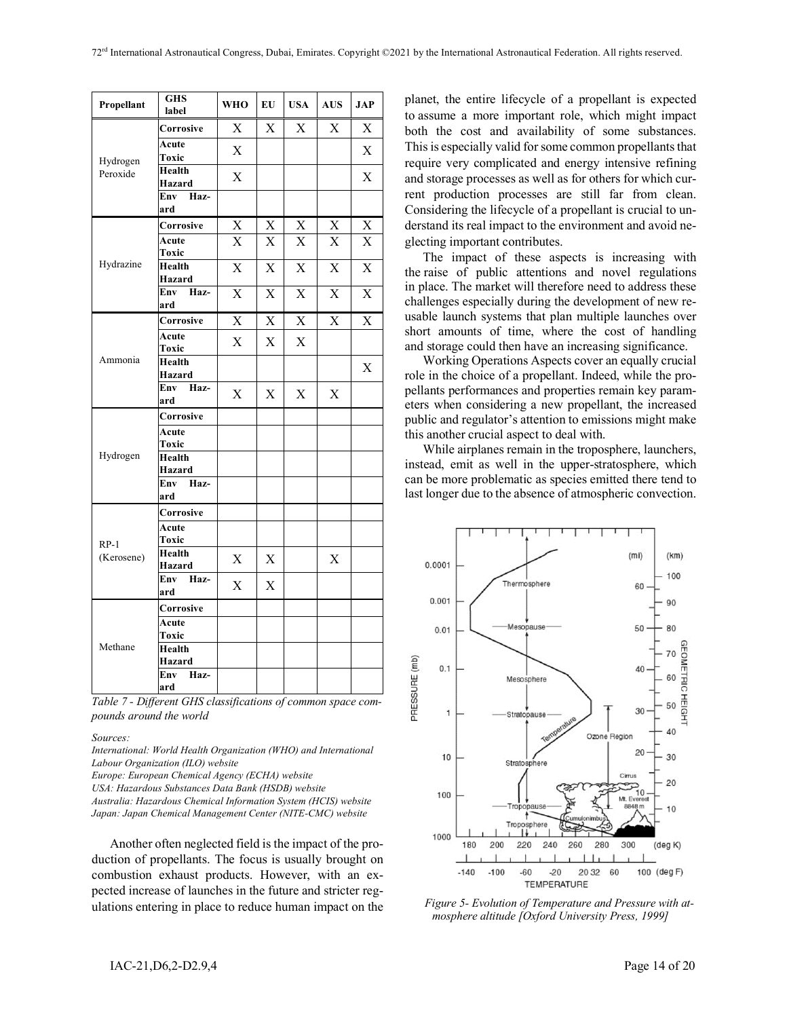| Propellant | <b>GHS</b><br>label | <b>WHO</b>  | ${\bf E}{\bf U}$ | <b>USA</b>  | $\mathbf{A}\mathbf{U}\mathbf{S}$ | <b>JAP</b>                |
|------------|---------------------|-------------|------------------|-------------|----------------------------------|---------------------------|
|            | Corrosive           | X           | X                | X           | X                                | X                         |
| Hydrogen   | Acute<br>Toxic      | $\mathbf X$ |                  |             |                                  | $\mathbf X$               |
| Peroxide   | Health<br>Hazard    | X           |                  |             |                                  | $\boldsymbol{\mathrm{X}}$ |
|            | Env<br>Haz-<br>ard  |             |                  |             |                                  |                           |
|            | Corrosive           | X           | $\mathbf X$      | $\mathbf X$ | X                                | $\boldsymbol{\mathrm{X}}$ |
|            | Acute<br>Toxic      | X           | X                | $\mathbf X$ | X                                | $\mathbf X$               |
| Hydrazine  | Health<br>Hazard    | X           | X                | $\mathbf X$ | X                                | X                         |
|            | Env<br>Haz-<br>ard  | X           | X                | $\mathbf X$ | $\boldsymbol{\mathrm{X}}$        | $\boldsymbol{\mathrm{X}}$ |
|            | Corrosive           | X           | $\mathbf X$      | $\mathbf X$ | X                                | X                         |
|            | Acute<br>Toxic      | $\mathbf X$ | $\mathbf X$      | $\mathbf X$ |                                  |                           |
| Ammonia    | Health<br>Hazard    |             |                  |             |                                  | X                         |
|            | Env<br>Haz-<br>ard  | $\mathbf X$ | X                | X           | $\boldsymbol{\mathrm{X}}$        |                           |
|            | Corrosive           |             |                  |             |                                  |                           |
|            | Acute<br>Toxic      |             |                  |             |                                  |                           |
| Hydrogen   | Health<br>Hazard    |             |                  |             |                                  |                           |
|            | Env Haz-<br>ard     |             |                  |             |                                  |                           |
|            | Corrosive           |             |                  |             |                                  |                           |
| $RP-1$     | Acute<br>Toxic      |             |                  |             |                                  |                           |
| (Kerosene) | Health<br>Hazard    | X           | $\mathbf X$      |             | X                                |                           |
|            | Env<br>Haz-<br>ard  | X           | X                |             |                                  |                           |
|            | Corrosive           |             |                  |             |                                  |                           |
|            | Acute<br>Toxic      |             |                  |             |                                  |                           |
| Methane    | Health<br>Hazard    |             |                  |             |                                  |                           |
|            | Haz-<br>Env<br>ard  |             |                  |             |                                  |                           |

*Table 7 - Different GHS classifications of common space compounds around the world*

*Sources:*

*International: World Health Organization (WHO) and International Labour Organization (ILO) website*

*Europe: European Chemical Agency (ECHA) website*

*USA: Hazardous Substances Data Bank (HSDB) website*

*Australia: Hazardous Chemical Information System (HCIS) website Japan: Japan Chemical Management Center (NITE-CMC) website*

Another often neglected field is the impact of the production of propellants. The focus is usually brought on combustion exhaust products. However, with an expected increase of launches in the future and stricter regulations entering in place to reduce human impact on the planet, the entire lifecycle of a propellant is expected to assume a more important role, which might impact both the cost and availability of some substances. This is especially valid for some common propellants that require very complicated and energy intensive refining and storage processes as well as for others for which current production processes are still far from clean. Considering the lifecycle of a propellant is crucial to understand its real impact to the environment and avoid neglecting important contributes.

The impact of these aspects is increasing with the raise of public attentions and novel regulations in place. The market will therefore need to address these challenges especially during the development of new reusable launch systems that plan multiple launches over short amounts of time, where the cost of handling and storage could then have an increasing significance.

Working Operations Aspects cover an equally crucial role in the choice of a propellant. Indeed, while the propellants performances and properties remain key parameters when considering a new propellant, the increased public and regulator's attention to emissions might make this another crucial aspect to deal with.

While airplanes remain in the troposphere, launchers, instead, emit as well in the upper-stratosphere, which can be more problematic as species emitted there tend to last longer due to the absence of atmospheric convection.



*Figure 5- Evolution of Temperature and Pressure with atmosphere altitude [Oxford University Press, 1999]*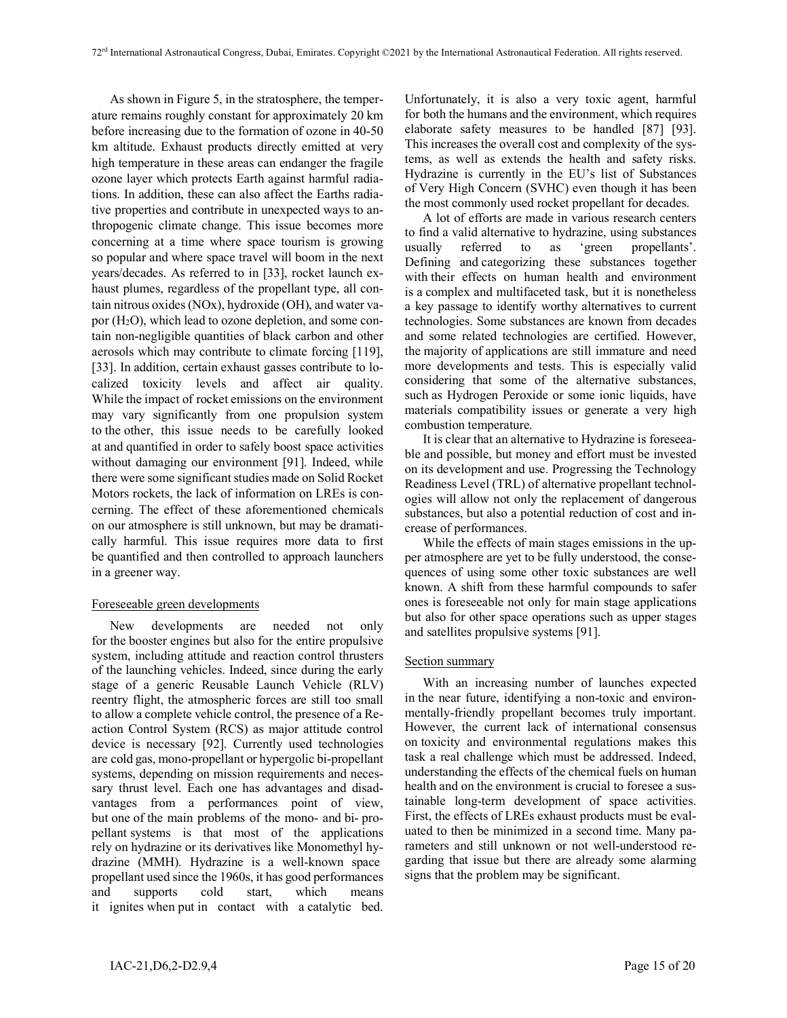As shown in Figure 5, in the stratosphere, the temperature remains roughly constant for approximately 20 km before increasing due to the formation of ozone in 40-50 km altitude. Exhaust products directly emitted at very high temperature in these areas can endanger the fragile ozone layer which protects Earth against harmful radiations. In addition, these can also affect the Earths radiative properties and contribute in unexpected ways to anthropogenic climate change. This issue becomes more concerning at a time where space tourism is growing so popular and where space travel will boom in the next years/decades. As referred to in [33], rocket launch exhaust plumes, regardless of the propellant type, all contain nitrous oxides (NOx), hydroxide (OH), and water vapor (H2O), which lead to ozone depletion, and some contain non-negligible quantities of black carbon and other aerosols which may contribute to climate forcing [119], [33]. In addition, certain exhaust gasses contribute to localized toxicity levels and affect air quality. While the impact of rocket emissions on the environment may vary significantly from one propulsion system to the other, this issue needs to be carefully looked at and quantified in order to safely boost space activities without damaging our environment [91]. Indeed, while there were some significant studies made on Solid Rocket Motors rockets, the lack of information on LREs is concerning. The effect of these aforementioned chemicals on our atmosphere is still unknown, but may be dramatically harmful. This issue requires more data to first be quantified and then controlled to approach launchers in a greener way.

### Foreseeable green developments

New developments are needed not only for the booster engines but also for the entire propulsive system, including attitude and reaction control thrusters of the launching vehicles. Indeed, since during the early stage of a generic Reusable Launch Vehicle (RLV) reentry flight, the atmospheric forces are still too small to allow a complete vehicle control, the presence of a Reaction Control System (RCS) as major attitude control device is necessary [92]. Currently used technologies are cold gas, mono-propellant or hypergolic bi-propellant systems, depending on mission requirements and necessary thrust level. Each one has advantages and disadvantages from a performances point of view, but one of the main problems of the mono- and bi- propellant systems is that most of the applications rely on hydrazine or its derivatives like Monomethyl hydrazine (MMH). Hydrazine is a well-known space propellant used since the 1960s, it has good performances and supports cold start, which means it ignites when put in contact with a catalytic bed.

Unfortunately, it is also a very toxic agent, harmful for both the humans and the environment, which requires elaborate safety measures to be handled [87] [93]. This increases the overall cost and complexity of the systems, as well as extends the health and safety risks. Hydrazine is currently in the EU's list of Substances of Very High Concern (SVHC) even though it has been the most commonly used rocket propellant for decades.

A lot of efforts are made in various research centers to find a valid alternative to hydrazine, using substances usually referred to as 'green propellants'. Defining and categorizing these substances together with their effects on human health and environment is a complex and multifaceted task, but it is nonetheless a key passage to identify worthy alternatives to current technologies. Some substances are known from decades and some related technologies are certified. However, the majority of applications are still immature and need more developments and tests. This is especially valid considering that some of the alternative substances, such as Hydrogen Peroxide or some ionic liquids, have materials compatibility issues or generate a very high combustion temperature.

It is clear that an alternative to Hydrazine is foreseeable and possible, but money and effort must be invested on its development and use. Progressing the Technology Readiness Level (TRL) of alternative propellant technologies will allow not only the replacement of dangerous substances, but also a potential reduction of cost and increase of performances.

While the effects of main stages emissions in the upper atmosphere are yet to be fully understood, the consequences of using some other toxic substances are well known. A shift from these harmful compounds to safer ones is foreseeable not only for main stage applications but also for other space operations such as upper stages and satellites propulsive systems [91].

# Section summary

With an increasing number of launches expected in the near future, identifying a non-toxic and environmentally-friendly propellant becomes truly important. However, the current lack of international consensus on toxicity and environmental regulations makes this task a real challenge which must be addressed. Indeed, understanding the effects of the chemical fuels on human health and on the environment is crucial to foresee a sustainable long-term development of space activities. First, the effects of LREs exhaust products must be evaluated to then be minimized in a second time. Many parameters and still unknown or not well-understood regarding that issue but there are already some alarming signs that the problem may be significant.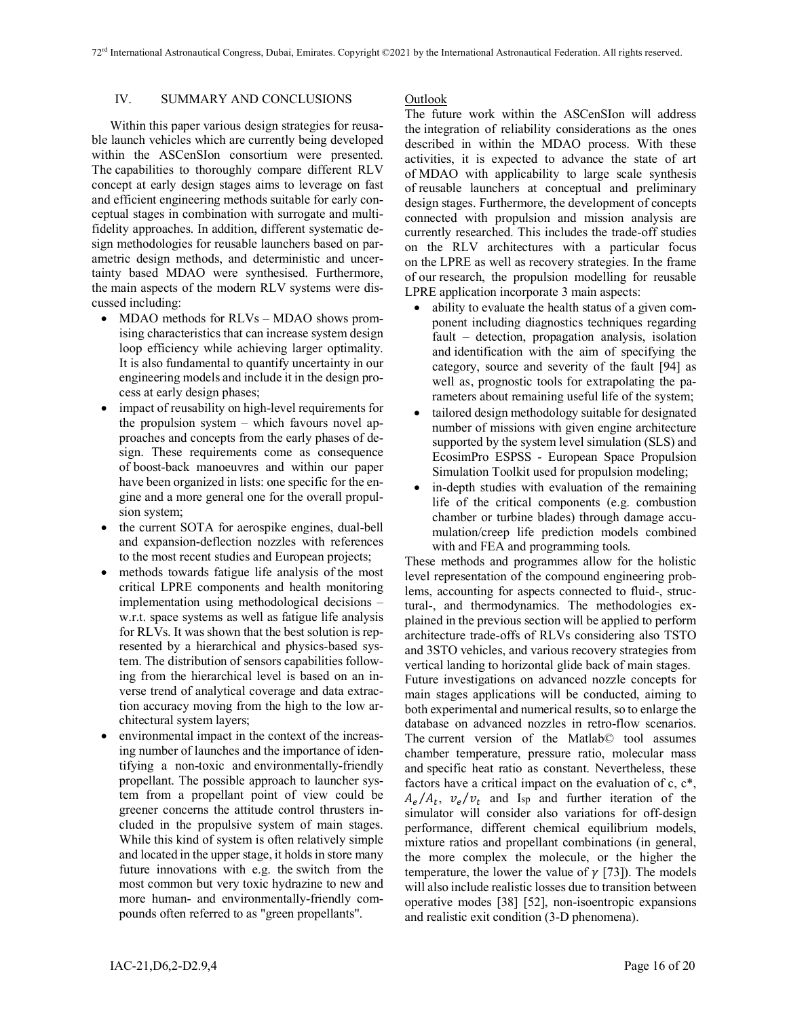# IV. SUMMARY AND CONCLUSIONS

Within this paper various design strategies for reusable launch vehicles which are currently being developed within the ASCenSIon consortium were presented. The capabilities to thoroughly compare different RLV concept at early design stages aims to leverage on fast and efficient engineering methods suitable for early conceptual stages in combination with surrogate and multifidelity approaches. In addition, different systematic design methodologies for reusable launchers based on parametric design methods, and deterministic and uncertainty based MDAO were synthesised. Furthermore, the main aspects of the modern RLV systems were discussed including:

- MDAO methods for RLVs MDAO shows promising characteristics that can increase system design loop efficiency while achieving larger optimality. It is also fundamental to quantify uncertainty in our engineering models and include it in the design process at early design phases;
- impact of reusability on high-level requirements for the propulsion system – which favours novel approaches and concepts from the early phases of design. These requirements come as consequence of boost-back manoeuvres and within our paper have been organized in lists: one specific for the engine and a more general one for the overall propulsion system;
- the current SOTA for aerospike engines, dual-bell and expansion-deflection nozzles with references to the most recent studies and European projects;
- methods towards fatigue life analysis of the most critical LPRE components and health monitoring implementation using methodological decisions – w.r.t. space systems as well as fatigue life analysis for RLVs. It was shown that the best solution is represented by a hierarchical and physics-based system. The distribution of sensors capabilities following from the hierarchical level is based on an inverse trend of analytical coverage and data extraction accuracy moving from the high to the low architectural system layers;
- environmental impact in the context of the increasing number of launches and the importance of identifying a non-toxic and environmentally-friendly propellant. The possible approach to launcher system from a propellant point of view could be greener concerns the attitude control thrusters included in the propulsive system of main stages. While this kind of system is often relatively simple and located in the upper stage, it holds in store many future innovations with e.g. the switch from the most common but very toxic hydrazine to new and more human- and environmentally-friendly compounds often referred to as "green propellants".

### Outlook

The future work within the ASCenSIon will address the integration of reliability considerations as the ones described in within the MDAO process. With these activities, it is expected to advance the state of art of MDAO with applicability to large scale synthesis of reusable launchers at conceptual and preliminary design stages. Furthermore, the development of concepts connected with propulsion and mission analysis are currently researched. This includes the trade-off studies on the RLV architectures with a particular focus on the LPRE as well as recovery strategies. In the frame of our research, the propulsion modelling for reusable LPRE application incorporate 3 main aspects:

- ability to evaluate the health status of a given component including diagnostics techniques regarding fault – detection, propagation analysis, isolation and identification with the aim of specifying the category, source and severity of the fault [94] as well as, prognostic tools for extrapolating the parameters about remaining useful life of the system;
- tailored design methodology suitable for designated number of missions with given engine architecture supported by the system level simulation (SLS) and EcosimPro ESPSS - European Space Propulsion Simulation Toolkit used for propulsion modeling;
- in-depth studies with evaluation of the remaining life of the critical components (e.g. combustion chamber or turbine blades) through damage accumulation/creep life prediction models combined with and FEA and programming tools.

These methods and programmes allow for the holistic level representation of the compound engineering problems, accounting for aspects connected to fluid-, structural-, and thermodynamics. The methodologies explained in the previous section will be applied to perform architecture trade-offs of RLVs considering also TSTO and 3STO vehicles, and various recovery strategies from vertical landing to horizontal glide back of main stages. Future investigations on advanced nozzle concepts for main stages applications will be conducted, aiming to both experimental and numerical results, so to enlarge the database on advanced nozzles in retro-flow scenarios. The current version of the Matlab© tool assumes chamber temperature, pressure ratio, molecular mass and specific heat ratio as constant. Nevertheless, these factors have a critical impact on the evaluation of c, c\*,  $A_e / A_t$ ,  $v_e / v_t$  and Isp and further iteration of the simulator will consider also variations for off-design performance, different chemical equilibrium models, mixture ratios and propellant combinations (in general, the more complex the molecule, or the higher the temperature, the lower the value of  $\gamma$  [73]). The models will also include realistic losses due to transition between operative modes [38] [52], non-isoentropic expansions and realistic exit condition (3-D phenomena).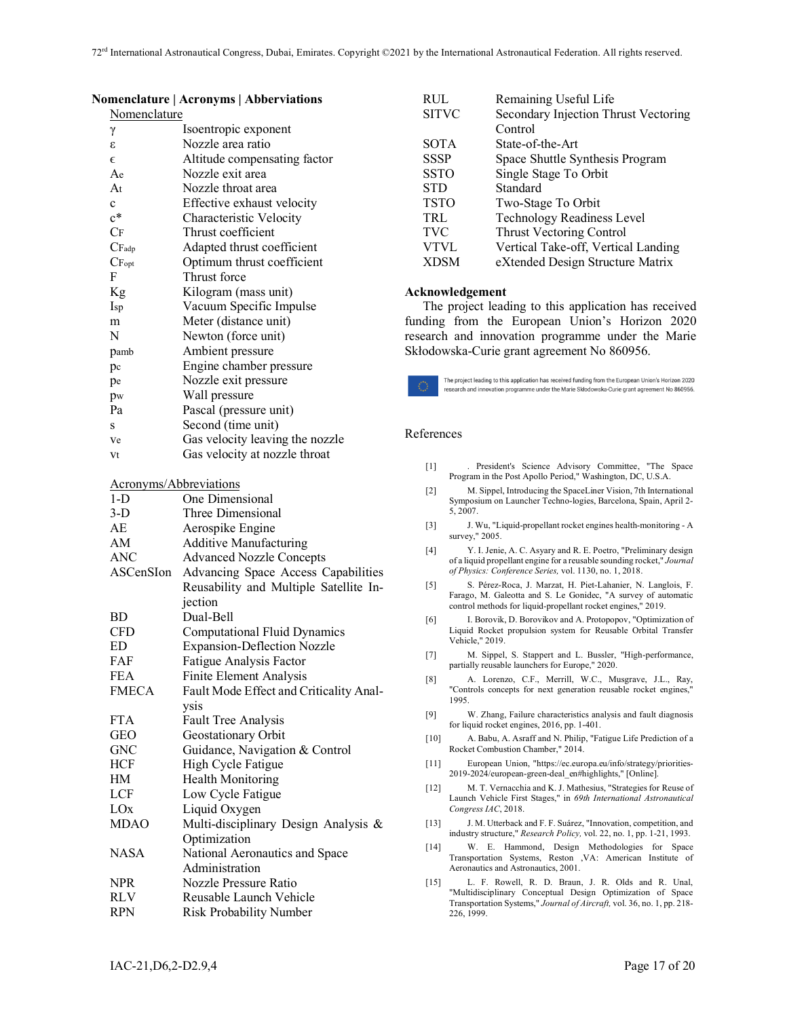| Nomenclature      |                                 |
|-------------------|---------------------------------|
| γ                 | Isoentropic exponent            |
| ε                 | Nozzle area ratio               |
| $\epsilon$        | Altitude compensating factor    |
| Ae                | Nozzle exit area                |
| At                | Nozzle throat area              |
| $\mathbf{c}$      | Effective exhaust velocity      |
| $c^*$             | Characteristic Velocity         |
| CF                | Thrust coefficient              |
| CF <sub>adp</sub> | Adapted thrust coefficient      |
| CF <sub>opt</sub> | Optimum thrust coefficient      |
| F                 | Thrust force                    |
| Kg                | Kilogram (mass unit)            |
| Isp               | Vacuum Specific Impulse         |
| m                 | Meter (distance unit)           |
| N                 | Newton (force unit)             |
| pamb              | Ambient pressure                |
| pc                | Engine chamber pressure         |
| pe                | Nozzle exit pressure            |
| pw                | Wall pressure                   |
| Pa                | Pascal (pressure unit)          |
| S                 | Second (time unit)              |
| Ve                | Gas velocity leaving the nozzle |
| Vt                | Gas velocity at nozzle throat   |

### **Nomenclature | Acronyms | Abberviations**

|  | Acronyms/Abbreviations |  |
|--|------------------------|--|
|--|------------------------|--|

| $1-D$           | One Dimensional                         |
|-----------------|-----------------------------------------|
| $3-D$           | Three Dimensional                       |
| AE              | Aerospike Engine                        |
| AM              | <b>Additive Manufacturing</b>           |
| <b>ANC</b>      | <b>Advanced Nozzle Concepts</b>         |
| ASCenSIon       | Advancing Space Access Capabilities     |
|                 | Reusability and Multiple Satellite In-  |
|                 | jection                                 |
| BD              | Dual-Bell                               |
| <b>CFD</b>      | <b>Computational Fluid Dynamics</b>     |
| ED              | <b>Expansion-Deflection Nozzle</b>      |
| FAF             | Fatigue Analysis Factor                 |
| <b>FEA</b>      | Finite Element Analysis                 |
| <b>FMECA</b>    | Fault Mode Effect and Criticality Anal- |
|                 | ysis                                    |
| <b>FTA</b>      | <b>Fault Tree Analysis</b>              |
| <b>GEO</b>      | Geostationary Orbit                     |
| <b>GNC</b>      | Guidance, Navigation & Control          |
| <b>HCF</b>      | High Cycle Fatigue                      |
| HМ              | <b>Health Monitoring</b>                |
| LCF             | Low Cycle Fatigue                       |
| LO <sub>x</sub> | Liquid Oxygen                           |
| <b>MDAO</b>     | Multi-disciplinary Design Analysis &    |
|                 | Optimization                            |
| <b>NASA</b>     | National Aeronautics and Space          |
|                 | Administration                          |
| <b>NPR</b>      | Nozzle Pressure Ratio                   |
| RLV             | Reusable Launch Vehicle                 |
| <b>RPN</b>      | <b>Risk Probability Number</b>          |

| RUL          | Remaining Useful Life                |
|--------------|--------------------------------------|
| <b>SITVC</b> | Secondary Injection Thrust Vectoring |
|              | Control                              |
| <b>SOTA</b>  | State-of-the-Art                     |
| <b>SSSP</b>  | Space Shuttle Synthesis Program      |
| SSTO         | Single Stage To Orbit                |
| STD          | Standard                             |
| <b>TSTO</b>  | Two-Stage To Orbit                   |
| TRL          | <b>Technology Readiness Level</b>    |
| <b>TVC</b>   | <b>Thrust Vectoring Control</b>      |
| <b>VTVL</b>  | Vertical Take-off, Vertical Landing  |
| <b>XDSM</b>  | eXtended Design Structure Matrix     |

#### **Acknowledgement**

The project leading to this application has received funding from the European Union's Horizon 2020 research and innovation programme under the Marie Skłodowska-Curie grant agreement No 860956.



#### References

| [1] |  |  | President's Science Advisory Committee, "The Space         |  |
|-----|--|--|------------------------------------------------------------|--|
|     |  |  | Program in the Post Apollo Period," Washington, DC, U.S.A. |  |

- [2] M. Sippel, Introducing the SpaceLiner Vision, 7th International Symposium on Launcher Techno-logies, Barcelona, Spain, April 2- 5, 2007.
- [3] J. Wu, "Liquid-propellant rocket engines health-monitoring A survey," 2005.
- [4] Y. I. Jenie, A. C. Asyary and R. E. Poetro, "Preliminary design of a liquid propellant engine for a reusable sounding rocket," *Journal of Physics: Conference Series,* vol. 1130, no. 1, 2018.
- [5] S. Pérez-Roca, J. Marzat, H. Piet-Lahanier, N. Langlois, F. Farago, M. Galeotta and S. Le Gonidec, "A survey of automatic control methods for liquid-propellant rocket engines," 2019.
- [6] I. Borovik, D. Borovikov and A. Protopopov, "Optimization of Liquid Rocket propulsion system for Reusable Orbital Transfer Vehicle," 2019.
- [7] M. Sippel, S. Stappert and L. Bussler, "High-performance, partially reusable launchers for Europe," 2020.
- [8] A. Lorenzo, C.F., Merrill, W.C., Musgrave, J.L., Ray, "Controls concepts for next generation reusable rocket engines," 1995.
- [9] W. Zhang, Failure characteristics analysis and fault diagnosis for liquid rocket engines, 2016, pp. 1-401.
- [10] A. Babu, A. Asraff and N. Philip, "Fatigue Life Prediction of a Rocket Combustion Chamber," 2014.
- [11] European Union, "https://ec.europa.eu/info/strategy/priorities-2019-2024/european-green-deal\_en#highlights," [Online].
- [12] M. T. Vernacchia and K. J. Mathesius, "Strategies for Reuse of Launch Vehicle First Stages," in *69th International Astronautical Congress IAC*, 2018.
- [13] J. M. Utterback and F. F. Suárez, "Innovation, competition, and industry structure," *Research Policy,* vol. 22, no. 1, pp. 1-21, 1993.
- [14] W. E. Hammond, Design Methodologies for Space Transportation Systems, Reston ,VA: American Institute of Aeronautics and Astronautics, 2001.
- [15] L. F. Rowell, R. D. Braun, J. R. Olds and R. Unal, "Multidisciplinary Conceptual Design Optimization of Space Transportation Systems," *Journal of Aircraft,* vol. 36, no. 1, pp. 218- 226, 1999.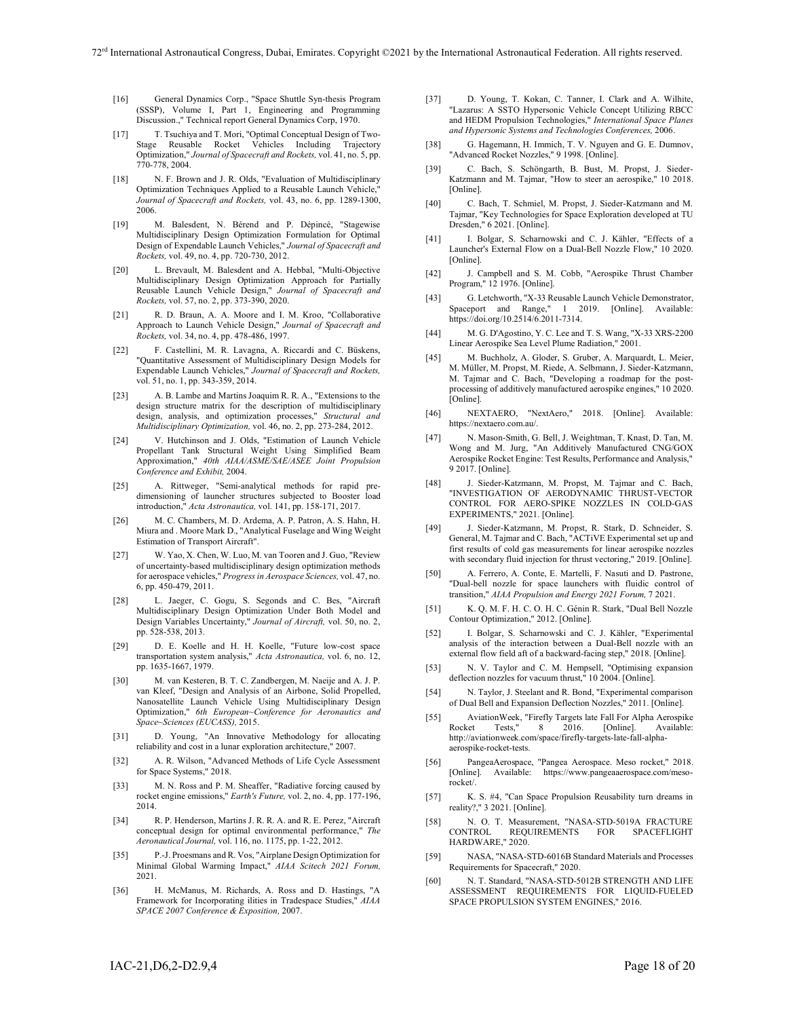- [16] General Dynamics Corp., "Space Shuttle Syn-thesis Program (SSSP), Volume I, Part 1, Engineering and Programming Discussion.," Technical report General Dynamics Corp, 1970.
- [17] T. Tsuchiya and T. Mori, "Optimal Conceptual Design of Two-Stage Reusable Rocket Vehicles Including Trajectory Optimization," *Journal of Spacecraft and Rockets,* vol. 41, no. 5, pp. 770-778, 2004.
- [18] N. F. Brown and J. R. Olds, "Evaluation of Multidisciplinary Optimization Techniques Applied to a Reusable Launch Vehicle, *Journal of Spacecraft and Rockets,* vol. 43, no. 6, pp. 1289-1300, 2006.
- [19] M. Balesdent, N. Bérend and P. Dépincé, "Stagewise Multidisciplinary Design Optimization Formulation for Optimal Design of Expendable Launch Vehicles," *Journal of Spacecraft and Rockets,* vol. 49, no. 4, pp. 720-730, 2012.
- [20] L. Brevault, M. Balesdent and A. Hebbal, "Multi-Objective Multidisciplinary Design Optimization Approach for Partially Reusable Launch Vehicle Design," *Journal of Spacecraft and Rockets,* vol. 57, no. 2, pp. 373-390, 2020.
- [21] R. D. Braun, A. A. Moore and I. M. Kroo, "Collaborative Approach to Launch Vehicle Design," *Journal of Spacecraft and Rockets,* vol. 34, no. 4, pp. 478-486, 1997.
- [22] F. Castellini, M. R. Lavagna, A. Riccardi and C. Büskens, "Quantitative Assessment of Multidisciplinary Design Models for Expendable Launch Vehicles," *Journal of Spacecraft and Rockets,*  vol. 51, no. 1, pp. 343-359, 2014.
- [23] A. B. Lambe and Martins Joaquim R. R. A., "Extensions to the design structure matrix for the description of multidisciplinary design, analysis, and optimization processes," *Structural and Multidisciplinary Optimization,* vol. 46, no. 2, pp. 273-284, 2012.
- [24] V. Hutchinson and J. Olds, "Estimation of Launch Vehicle Propellant Tank Structural Weight Using Simplified Beam Approximation," *40th AIAA/ASME/SAE/ASEE Joint Propulsion Conference and Exhibit,* 2004.
- [25] A. Rittweger, "Semi-analytical methods for rapid predimensioning of launcher structures subjected to Booster load introduction," *Acta Astronautica,* vol. 141, pp. 158-171, 2017.
- [26] M. C. Chambers, M. D. Ardema, A. P. Patron, A. S. Hahn, H. Miura and . Moore Mark D., "Analytical Fuselage and Wing Weight Estimation of Transport Aircraft".
- [27] W. Yao, X. Chen, W. Luo, M. van Tooren and J. Guo, "Review of uncertainty-based multidisciplinary design optimization methods for aerospace vehicles," *Progress in Aerospace Sciences,* vol. 47, no. 6, pp. 450-479, 2011.
- [28] L. Jaeger, C. Gogu, S. Segonds and C. Bes, "Aircraft Multidisciplinary Design Optimization Under Both Model and Design Variables Uncertainty," *Journal of Aircraft,* vol. 50, no. 2, pp. 528-538, 2013.
- [29] D. E. Koelle and H. H. Koelle, "Future low-cost space transportation system analysis," *Acta Astronautica,* vol. 6, no. 12, pp. 1635-1667, 1979.
- [30] M. van Kesteren, B. T. C. Zandbergen, M. Naeije and A. J. P. van Kleef, "Design and Analysis of an Airbone, Solid Propelled, Nanosatellite Launch Vehicle Using Multidisciplinary Design Optimization," *6th European~Conference for Aeronautics and Space~Sciences (EUCASS),* 2015.
- [31] D. Young, "An Innovative Methodology for allocating reliability and cost in a lunar exploration architecture," 2007.
- [32] A. R. Wilson, "Advanced Methods of Life Cycle Assessment for Space Systems," 2018.
- [33] M. N. Ross and P. M. Sheaffer, "Radiative forcing caused by rocket engine emissions," *Earth's Future,* vol. 2, no. 4, pp. 177-196, 2014.
- [34] R. P. Henderson, Martins J. R. R. A. and R. E. Perez, "Aircraft" conceptual design for optimal environmental performance," *The Aeronautical Journal,* vol. 116, no. 1175, pp. 1-22, 2012.
- [35] P.-J. Proesmans and R. Vos, "Airplane Design Optimization for Minimal Global Warming Impact," *AIAA Scitech 2021 Forum,*  2021.
- [36] H. McManus, M. Richards, A. Ross and D. Hastings, "A Framework for Incorporating ilities in Tradespace Studies," *AIAA SPACE 2007 Conference & Exposition,* 2007.
- [37] D. Young, T. Kokan, C. Tanner, I. Clark and A. Wilhite, "Lazarus: A SSTO Hypersonic Vehicle Concept Utilizing RBCC and HEDM Propulsion Technologies," *International Space Planes and Hypersonic Systems and Technologies Conferences,* 2006.
- [38] G. Hagemann, H. Immich, T. V. Nguyen and G. E. Dumnov, "Advanced Rocket Nozzles," 9 1998. [Online].
- [39] C. Bach, S. Schöngarth, B. Bust, M. Propst, J. Sieder-Katzmann and M. Tajmar, "How to steer an aerospike," 10 2018. [Online].
- [40] C. Bach, T. Schmiel, M. Propst, J. Sieder-Katzmann and M. Tajmar, "Key Technologies for Space Exploration developed at TU Dresden," 6 2021. [Online].
- [41] I. Bolgar, S. Scharnowski and C. J. Kähler, "Effects of a Launcher's External Flow on a Dual-Bell Nozzle Flow," 10 2020. [Online]
- [42] J. Campbell and S. M. Cobb, "Aerospike Thrust Chamber Program," 12 1976. [Online].
- [43] G. Letchworth, "X-33 Reusable Launch Vehicle Demonstrator, Spaceport and Range," 1 2019. [Online]. Available: https://doi.org/10.2514/6.2011-7314.
- [44] M. G. D'Agostino, Y. C. Lee and T. S. Wang, "X-33 XRS-2200 Linear Aerospike Sea Level Plume Radiation," 2001.
- [45] M. Buchholz, A. Gloder, S. Gruber, A. Marquardt, L. Meier, M. Müller, M. Propst, M. Riede, A. Selbmann, J. Sieder-Katzmann, M. Tajmar and C. Bach, "Developing a roadmap for the postprocessing of additively manufactured aerospike engines," 10 2020. [Online].
- [46] NEXTAERO, "NextAero," 2018. [Online]. Available: https://nextaero.com.au/.
- [47] N. Mason-Smith, G. Bell, J. Weightman, T. Knast, D. Tan, M. Wong and M. Jurg, "An Additively Manufactured CNG/GOX Aerospike Rocket Engine: Test Results, Performance and Analysis," 9 2017. [Online].
- [48] J. Sieder-Katzmann, M. Propst, M. Tajmar and C. Bach, "INVESTIGATION OF AERODYNAMIC THRUST-VECTOR CONTROL FOR AERO-SPIKE NOZZLES IN COLD-GAS EXPERIMENTS," 2021. [Online].
- [49] J. Sieder-Katzmann, M. Propst, R. Stark, D. Schneider, S. General, M. Tajmar and C. Bach, "ACTiVE Experimental set up and first results of cold gas measurements for linear aerospike nozzles with secondary fluid injection for thrust vectoring," 2019. [Online].
- [50] A. Ferrero, A. Conte, E. Martelli, F. Nasuti and D. Pastrone, "Dual-bell nozzle for space launchers with fluidic control of transition," *AIAA Propulsion and Energy 2021 Forum,* 7 2021.
- [51] K. Q. M. F. H. C. O. H. C. Génin R. Stark, "Dual Bell Nozzle Contour Optimization," 2012. [Online].
- [52] I. Bolgar, S. Scharnowski and C. J. Kähler, "Experimental analysis of the interaction between a Dual-Bell nozzle with an external flow field aft of a backward-facing step," 2018. [Online].
- [53] N. V. Taylor and C. M. Hempsell, "Optimising expansion deflection nozzles for vacuum thrust," 10 2004. [Online].
- [54] N. Taylor, J. Steelant and R. Bond, "Experimental comparison of Dual Bell and Expansion Deflection Nozzles," 2011. [Online].
- [55] AviationWeek, "Firefly Targets late Fall For Alpha Aerospike Rocket Tests," 8 2016. [Online]. Available: http://aviationweek.com/space/firefly-targets-late-fall-alphaaerospike-rocket-tests.
- [56] PangeaAerospace, "Pangea Aerospace. Meso rocket," 2018. [Online]. Available: https://www.pangeaaerospace.com/mesorocket/.
- [57] K. S. #4, "Can Space Propulsion Reusability turn dreams in reality?," 3 2021. [Online].
- [58] N. O. T. Measurement, "NASA-STD-5019A FRACTURE REQUIREMENTS FOR HARDWARE," 2020.
- [59] NASA, "NASA-STD-6016B Standard Materials and Processes Requirements for Spacecraft," 2020.
- [60] N. T. Standard, "NASA-STD-5012B STRENGTH AND LIFE ASSESSMENT REQUIREMENTS FOR LIQUID-FUELED SPACE PROPULSION SYSTEM ENGINES," 2016.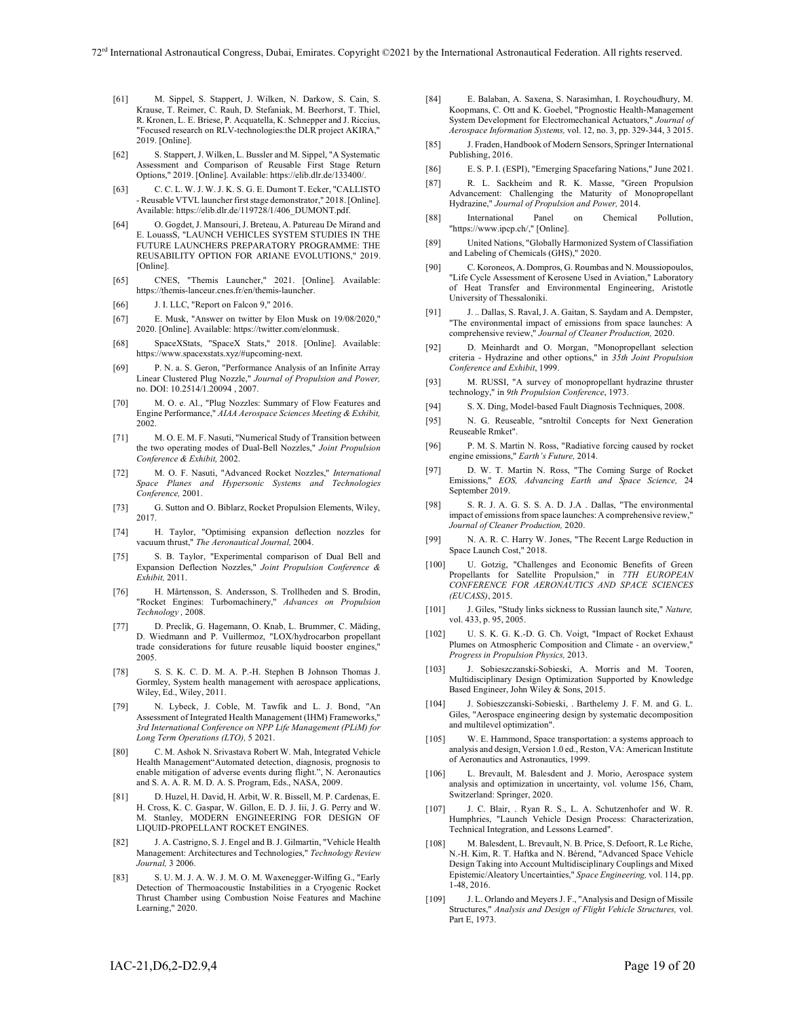- [61] M. Sippel, S. Stappert, J. Wilken, N. Darkow, S. Cain, S. Krause, T. Reimer, C. Rauh, D. Stefaniak, M. Beerhorst, T. Thiel, R. Kronen, L. E. Briese, P. Acquatella, K. Schnepper and J. Riccius, "Focused research on RLV-technologies:the DLR project AKIRA," 2019. [Online].
- [62] S. Stappert, J. Wilken, L. Bussler and M. Sippel, "A Systematic Assessment and Comparison of Reusable First Stage Return Options," 2019. [Online]. Available: https://elib.dlr.de/133400/.
- [63] C. C. L. W. J. W. J. K. S. G. E. Dumont T. Ecker, "CALLISTO - Reusable VTVL launcher first stage demonstrator," 2018. [Online]. Available: https://elib.dlr.de/119728/1/406\_DUMONT.pdf.
- [64] O. Gogdet, J. Mansouri, J. Breteau, A. Patureau De Mirand and E. LouassS, "LAUNCH VEHICLES SYSTEM STUDIES IN THE FUTURE LAUNCHERS PREPARATORY PROGRAMME: THE REUSABILITY OPTION FOR ARIANE EVOLUTIONS," 2019. [Online].
- [65] CNES, "Themis Launcher," 2021. [Online]. Available: https://themis-lanceur.cnes.fr/en/themis-launcher.
- [66] J. I. LLC, "Report on Falcon 9," 2016.
- [67] E. Musk, "Answer on twitter by Elon Musk on 19/08/2020," 2020. [Online]. Available: https://twitter.com/elonmusk.
- [68] SpaceXStats, "SpaceX Stats," 2018. [Online]. Available: https://www.spacexstats.xyz/#upcoming-next.
- [69] P. N. a. S. Geron, "Performance Analysis of an Infinite Array Linear Clustered Plug Nozzle," *Journal of Propulsion and Power,*  no. DOI: 10.2514/1.20094 , 2007.
- [70] M. O. e. Al., "Plug Nozzles: Summary of Flow Features and Engine Performance," *AIAA Aerospace Sciences Meeting & Exhibit,*  2002.
- [71] M. O. E. M. F. Nasuti, "Numerical Study of Transition between the two operating modes of Dual-Bell Nozzles," *Joint Propulsion Conference & Exhibit,* 2002.
- [72] M. O. F. Nasuti, "Advanced Rocket Nozzles," *International Space Planes and Hypersonic Systems and Technologies Conference,* 2001.
- [73] G. Sutton and O. Biblarz, Rocket Propulsion Elements, Wiley, 2017.
- [74] H. Taylor, "Optimising expansion deflection nozzles for vacuum thrust," *The Aeronautical Journal,* 2004.
- [75] S. B. Taylor, "Experimental comparison of Dual Bell and Expansion Deflection Nozzles," *Joint Propulsion Conference & Exhibit,* 2011.
- [76] H. Mårtensson, S. Andersson, S. Trollheden and S. Brodin, "Rocket Engines: Turbomachinery," *Advances on Propulsion Technology ,* 2008.
- [77] D. Preclik, G. Hagemann, O. Knab, L. Brummer, C. Mäding, D. Wiedmann and P. Vuillermoz, "LOX/hydrocarbon propellant trade considerations for future reusable liquid booster engines," 2005.
- [78] S. S. K. C. D. M. A. P.-H. Stephen B Johnson Thomas J. Gormley, System health management with aerospace applications, Wiley, Ed., Wiley, 2011.
- [79] N. Lybeck, J. Coble, M. Tawfik and L. J. Bond, "An Assessment of Integrated Health Management (IHM) Frameworks," *3rd International Conference on NPP Life Management (PLiM) for Long Term Operations (LTO),* 5 2021.
- [80] C. M. Ashok N. Srivastava Robert W. Mah, Integrated Vehicle Health Management"Automated detection, diagnosis, prognosis to enable mitigation of adverse events during flight.", N. Aeronautics and S. A. A. R. M. D. A. S. Program, Eds., NASA, 2009.
- [81] D. Huzel, H. David, H. Arbit, W. R. Bissell, M. P. Cardenas, E. H. Cross, K. C. Gaspar, W. Gillon, E. D. J. Iii, J. G. Perry and W. M. Stanley, MODERN ENGINEERING FOR DESIGN OF LIQUID-PROPELLANT ROCKET ENGINES.
- [82] J. A. Castrigno, S. J. Engel and B. J. Gilmartin, "Vehicle Health Management: Architectures and Technologies," *Technology Review Journal,* 3 2006.
- [83] S. U. M. J. A. W. J. M. O. M. Waxenegger-Wilfing G., "Early Detection of Thermoacoustic Instabilities in a Cryogenic Rocket Thrust Chamber using Combustion Noise Features and Machine Learning," 2020.
- [84] E. Balaban, A. Saxena, S. Narasimhan, I. Roychoudhury, M. Koopmans, C. Ott and K. Goebel, "Prognostic Health-Management System Development for Electromechanical Actuators," *Journal of Aerospace Information Systems,* vol. 12, no. 3, pp. 329-344, 3 2015.
- [85] J. Fraden, Handbook of Modern Sensors, Springer International Publishing, 2016.
- [86] E. S. P. I. (ESPI), "Emerging Spacefaring Nations," June 2021.
- [87] R. L. Sackheim and R. K. Masse, "Green Propulsion Advancement: Challenging the Maturity of Monopropellant Hydrazine," *Journal of Propulsion and Power,* 2014.
- [88] International Panel on Chemical Pollution, "https://www.ipcp.ch/," [Online].
- [89] United Nations, "Globally Harmonized System of Classifiation and Labeling of Chemicals (GHS)," 2020.
- [90] C. Koroneos, A. Dompros, G. Roumbas and N. Moussiopoulos, "Life Cycle Assessment of Kerosene Used in Aviation," Laboratory of Heat Transfer and Environmental Engineering, Aristotle University of Thessaloniki.
- [91] J. .. Dallas, S. Raval, J. A. Gaitan, S. Saydam and A. Dempster, "The environmental impact of emissions from space launches: A comprehensive review," *Journal of Cleaner Production,* 2020.
- [92] D. Meinhardt and O. Morgan, "Monopropellant selection criteria - Hydrazine and other options," in *35th Joint Propulsion Conference and Exhibit*, 1999.
- [93] M. RUSSI, "A survey of monopropellant hydrazine thruster technology," in *9th Propulsion Conference*, 1973.
- [94] S. X. Ding, Model-based Fault Diagnosis Techniques, 2008.
- [95] N. G. Reuseable, "sntroltil Concepts for Next Generation Reuseable Rmket".
- [96] P. M. S. Martin N. Ross, "Radiative forcing caused by rocket engine emissions," *Earth's Future,* 2014.
- [97] D. W. T. Martin N. Ross, "The Coming Surge of Rocket Emissions," *EOS, Advancing Earth and Space Science,* 24 September 2019.
- [98] S. R. J. A. G. S. S. A. D. J.A . Dallas, "The environmental impact of emissions from space launches: A comprehensive review," *Journal of Cleaner Production,* 2020.
- [99] N. A. R. C. Harry W. Jones, "The Recent Large Reduction in Space Launch Cost," 2018.
- [100] U. Gotzig, "Challenges and Economic Benefits of Green Propellants for Satellite Propulsion," in *7TH EUROPEAN CONFERENCE FOR AERONAUTICS AND SPACE SCIENCES (EUCASS)*, 2015.
- [101] J. Giles, "Study links sickness to Russian launch site," *Nature,*  vol. 433, p. 95, 2005.
- [102] U. S. K. G. K.-D. G. Ch. Voigt, "Impact of Rocket Exhaust Plumes on Atmospheric Composition and Climate - an overview," *Progress in Propulsion Physics,* 2013.
- [103] J. Sobieszczanski-Sobieski, A. Morris and M. Tooren, Multidisciplinary Design Optimization Supported by Knowledge Based Engineer, John Wiley & Sons, 2015.
- [104] J. Sobieszczanski-Sobieski, . Barthelemy J. F. M. and G. L. Giles, "Aerospace engineering design by systematic decomposition and multilevel optimization".
- [105] W. E. Hammond, Space transportation: a systems approach to analysis and design, Version 1.0 ed., Reston, VA: American Institute of Aeronautics and Astronautics, 1999.
- [106] L. Brevault, M. Balesdent and J. Morio, Aerospace system analysis and optimization in uncertainty, vol. volume 156, Cham, Switzerland: Springer, 2020.
- [107] J. C. Blair, . Ryan R. S., L. A. Schutzenhofer and W. R. Humphries, "Launch Vehicle Design Process: Characterization, Technical Integration, and Lessons Learned".
- [108] M. Balesdent, L. Brevault, N. B. Price, S. Defoort, R. Le Riche, N.-H. Kim, R. T. Haftka and N. Bérend, "Advanced Space Vehicle Design Taking into Account Multidisciplinary Couplings and Mixed Epistemic/Aleatory Uncertainties," *Space Engineering,* vol. 114, pp. 1-48, 2016.
- [109] J. L. Orlando and Meyers J. F., "Analysis and Design of Missile Structures," *Analysis and Design of Flight Vehicle Structures,* vol. Part E, 1973.